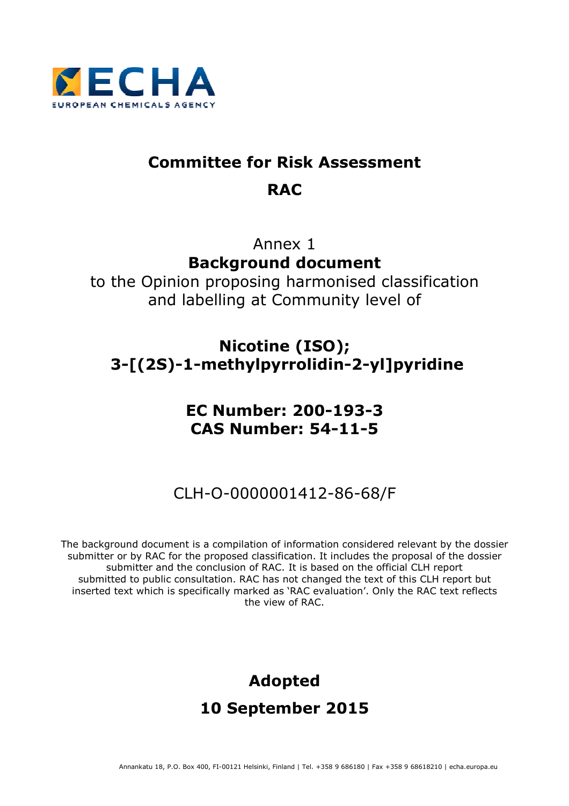

# **Committee for Risk Assessment RAC**

# Annex 1 **Background document**

to the Opinion proposing harmonised classification and labelling at Community level of

# **Nicotine (ISO); 3-[(2S)-1-methylpyrrolidin-2-yl]pyridine**

# **EC Number: 200-193-3 CAS Number: 54-11-5**

# CLH-O-0000001412-86-68/F

The background document is a compilation of information considered relevant by the dossier submitter or by RAC for the proposed classification. It includes the proposal of the dossier submitter and the conclusion of RAC. It is based on the official CLH report submitted to public consultation. RAC has not changed the text of this CLH report but inserted text which is specifically marked as 'RAC evaluation'. Only the RAC text reflects the view of RAC.

# **Adopted 10 September 2015**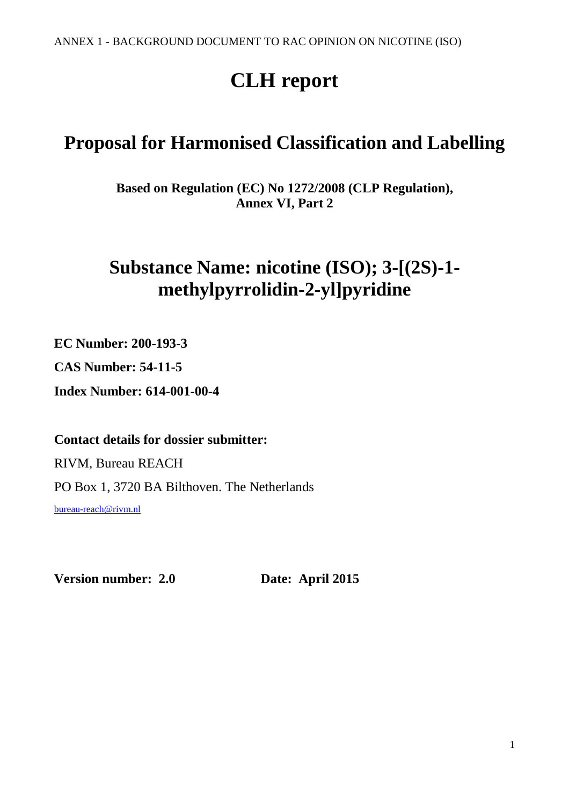# **CLH report**

# **Proposal for Harmonised Classification and Labelling**

**Based on Regulation (EC) No 1272/2008 (CLP Regulation), Annex VI, Part 2** 

# **Substance Name: nicotine (ISO); 3-[(2S)-1 methylpyrrolidin-2-yl]pyridine**

**EC Number: 200-193-3** 

**CAS Number: 54-11-5** 

**Index Number: 614-001-00-4** 

# **Contact details for dossier submitter:**

RIVM, Bureau REACH PO Box 1, 3720 BA Bilthoven. The Netherlands bureau-reach@rivm.nl

**Version number: 2.0 Date: April 2015**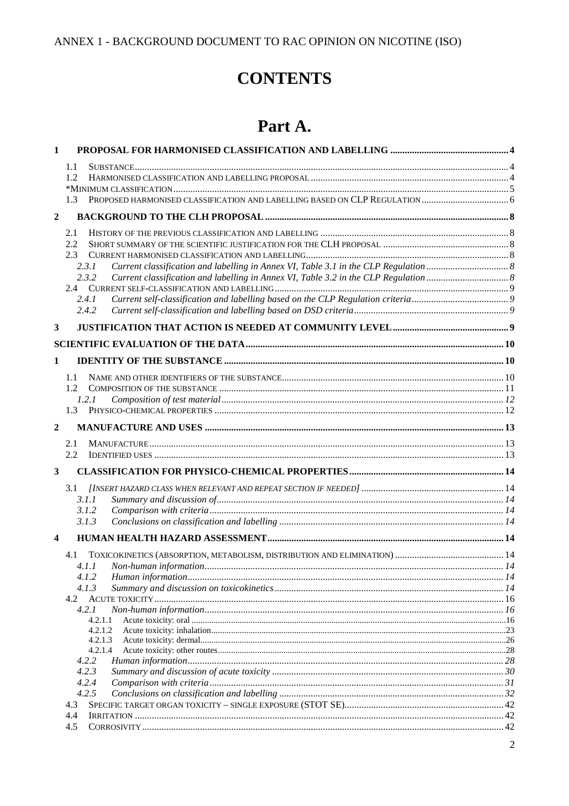# **CONTENTS**

# Part A.

| 1                |                    |  |
|------------------|--------------------|--|
|                  | 1.1                |  |
|                  | 1.2                |  |
|                  |                    |  |
|                  | 1.3                |  |
| $\boldsymbol{2}$ |                    |  |
|                  | 2.1                |  |
|                  | 2.2                |  |
|                  | 2.3                |  |
|                  | 2.3.1              |  |
|                  | 2.3.2              |  |
|                  | 2.4.1              |  |
|                  | 2.4.2              |  |
| 3                |                    |  |
|                  |                    |  |
|                  |                    |  |
| 1                |                    |  |
|                  | 1.1                |  |
|                  | 1.2                |  |
|                  | 1.2.1              |  |
|                  | 1.3                |  |
| $\overline{2}$   |                    |  |
|                  | 2.1                |  |
|                  | 2.2                |  |
| 3                |                    |  |
|                  |                    |  |
|                  | 3.1.1              |  |
|                  | 3.1.2              |  |
|                  | 3.1.3              |  |
| 4                |                    |  |
|                  | 4.1                |  |
|                  |                    |  |
|                  | 4.1.2              |  |
|                  | 4.1.3<br>4.2       |  |
|                  | 4.2.1              |  |
|                  | 4.2.1.1            |  |
|                  | 4.2.1.2            |  |
|                  | 4.2.1.3<br>4.2.1.4 |  |
|                  | 4.2.2              |  |
|                  | 4.2.3              |  |
|                  | 4.2.4              |  |
|                  | 4.2.5              |  |
|                  | 4.3                |  |
|                  | 4.4<br>4.5         |  |
|                  |                    |  |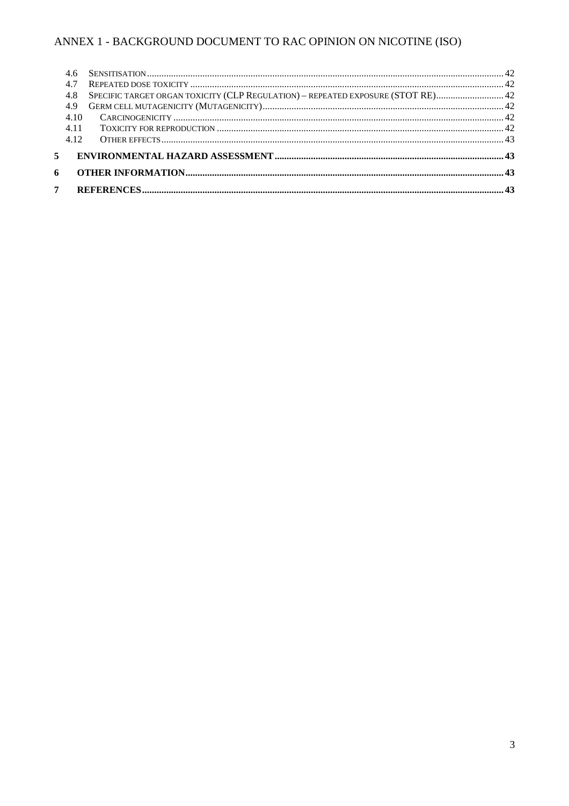|                | 4.7  |                                                                                     |  |
|----------------|------|-------------------------------------------------------------------------------------|--|
|                |      | 42 SPECIFIC TARGET ORGAN TOXICITY (CLP REGULATION) - REPEATED EXPOSURE (STOT RE) 42 |  |
|                | 4.9  |                                                                                     |  |
|                | 4.10 |                                                                                     |  |
|                | 4.11 |                                                                                     |  |
|                | 4.12 |                                                                                     |  |
|                |      |                                                                                     |  |
| 6              |      |                                                                                     |  |
| 7 <sup>7</sup> |      |                                                                                     |  |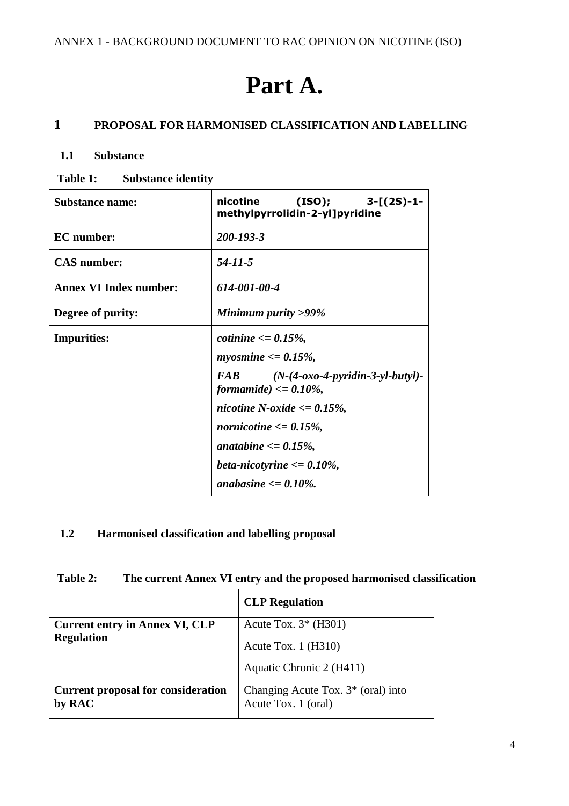# **Part A.**

# **1 PROPOSAL FOR HARMONISED CLASSIFICATION AND LABELLING**

## **1.1 Substance**

**Table 1: Substance identity** 

| <b>Substance name:</b>        | nicotine<br>$(ISO);$ 3- $[(2S)-1-$<br>methylpyrrolidin-2-yl]pyridine                        |
|-------------------------------|---------------------------------------------------------------------------------------------|
| <b>EC</b> number:             | 200-193-3                                                                                   |
| <b>CAS</b> number:            | 54-11-5                                                                                     |
| <b>Annex VI Index number:</b> | 614-001-00-4                                                                                |
| Degree of purity:             | Minimum purity $>99\%$                                                                      |
| <b>Impurities:</b>            | cotinine $\epsilon = 0.15\%$ ,                                                              |
|                               | <i>myosmine</i> $\langle 0.15\% 0.0025 \rangle$                                             |
|                               | $(N-(4-oxo-4-pyridin-3-yl-butyl)-$<br>FAB <sup>1</sup><br><i>formamide</i> $) \le 0.10\%$ , |
|                               | nicotine N-oxide $\langle 0.15\%$ ,                                                         |
|                               | <i>nornicotine</i> $\langle 0.15\% \rangle$                                                 |
|                               | anatabine $\epsilon = 0.15\%$ ,                                                             |
|                               | beta-nicotyrine $\langle = 0.10\% \rangle$                                                  |
|                               | anabasine $\epsilon = 0.10\%$ .                                                             |

#### **1.2 Harmonised classification and labelling proposal**

| Table 2: | The current Annex VI entry and the proposed harmonised classification |
|----------|-----------------------------------------------------------------------|
|----------|-----------------------------------------------------------------------|

|                                                     | <b>CLP</b> Regulation                                        |  |
|-----------------------------------------------------|--------------------------------------------------------------|--|
| <b>Current entry in Annex VI, CLP</b>               | Acute Tox. $3*(H301)$                                        |  |
| <b>Regulation</b>                                   | Acute Tox. $1$ (H310)                                        |  |
|                                                     | Aquatic Chronic 2 (H411)                                     |  |
| <b>Current proposal for consideration</b><br>by RAC | Changing Acute Tox. $3^*$ (oral) into<br>Acute Tox. 1 (oral) |  |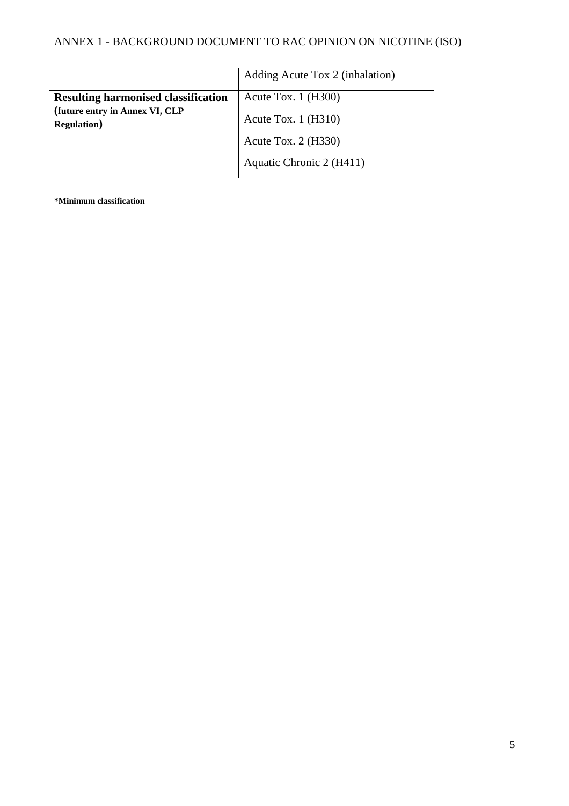|                                                       | Adding Acute Tox 2 (inhalation) |
|-------------------------------------------------------|---------------------------------|
| <b>Resulting harmonised classification</b>            | Acute Tox. $1$ (H300)           |
| (future entry in Annex VI, CLP<br><b>Regulation</b> ) | Acute Tox. $1$ (H310)           |
|                                                       | Acute Tox. $2$ (H330)           |
|                                                       | Aquatic Chronic 2 (H411)        |

**\*Minimum classification**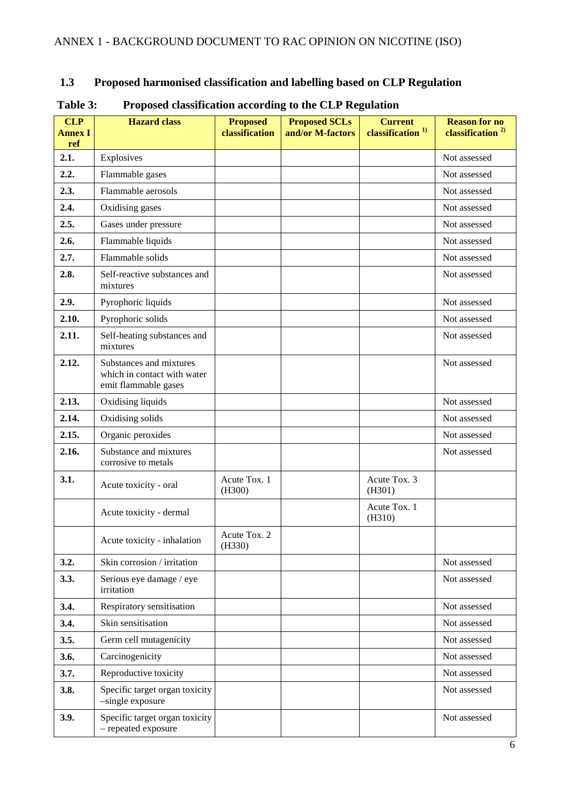# **1.3 Proposed harmonised classification and labelling based on CLP Regulation**

| <b>CLP</b><br><b>Annex I</b><br>ref | <b>Hazard</b> class                                                            | <b>Proposed</b><br>classification | <b>Proposed SCLs</b><br>and/or M-factors | <b>Current</b><br>classification <sup>1)</sup> | <b>Reason for no</b><br>classification <sup>2)</sup> |
|-------------------------------------|--------------------------------------------------------------------------------|-----------------------------------|------------------------------------------|------------------------------------------------|------------------------------------------------------|
| 2.1.                                | Explosives                                                                     |                                   |                                          |                                                | Not assessed                                         |
| 2.2.                                | Flammable gases                                                                |                                   |                                          |                                                | Not assessed                                         |
| 2.3.                                | Flammable aerosols                                                             |                                   |                                          |                                                | Not assessed                                         |
| 2.4.                                | Oxidising gases                                                                |                                   |                                          |                                                | Not assessed                                         |
| 2.5.                                | Gases under pressure                                                           |                                   |                                          |                                                | Not assessed                                         |
| 2.6.                                | Flammable liquids                                                              |                                   |                                          |                                                | Not assessed                                         |
| 2.7.                                | Flammable solids                                                               |                                   |                                          |                                                | Not assessed                                         |
| 2.8.                                | Self-reactive substances and<br>mixtures                                       |                                   |                                          |                                                | Not assessed                                         |
| 2.9.                                | Pyrophoric liquids                                                             |                                   |                                          |                                                | Not assessed                                         |
| 2.10.                               | Pyrophoric solids                                                              |                                   |                                          |                                                | Not assessed                                         |
| 2.11.                               | Self-heating substances and<br>mixtures                                        |                                   |                                          |                                                | Not assessed                                         |
| 2.12.                               | Substances and mixtures<br>which in contact with water<br>emit flammable gases |                                   |                                          |                                                | Not assessed                                         |
| 2.13.                               | Oxidising liquids                                                              |                                   |                                          |                                                | Not assessed                                         |
| 2.14.                               | Oxidising solids                                                               |                                   |                                          |                                                | Not assessed                                         |
| 2.15.                               | Organic peroxides                                                              |                                   |                                          |                                                | Not assessed                                         |
| 2.16.                               | Substance and mixtures<br>corrosive to metals                                  |                                   |                                          |                                                | Not assessed                                         |
| 3.1.                                | Acute toxicity - oral                                                          | Acute Tox. 1<br>(H300)            |                                          | Acute Tox. 3<br>(H301)                         |                                                      |
|                                     | Acute toxicity - dermal                                                        |                                   |                                          | Acute Tox. 1<br>(H310)                         |                                                      |
|                                     | Acute toxicity - inhalation                                                    | Acute Tox. 2<br>(H330)            |                                          |                                                |                                                      |
| 3.2.                                | Skin corrosion / irritation                                                    |                                   |                                          |                                                | Not assessed                                         |
| 3.3.                                | Serious eye damage / eye<br>irritation                                         |                                   |                                          |                                                | Not assessed                                         |
| 3.4.                                | Respiratory sensitisation                                                      |                                   |                                          |                                                | Not assessed                                         |
| 3.4.                                | Skin sensitisation                                                             |                                   |                                          |                                                | Not assessed                                         |
| 3.5.                                | Germ cell mutagenicity                                                         |                                   |                                          |                                                | Not assessed                                         |
| 3.6.                                | Carcinogenicity                                                                |                                   |                                          |                                                | Not assessed                                         |
| 3.7.                                | Reproductive toxicity                                                          |                                   |                                          |                                                | Not assessed                                         |
| 3.8.                                | Specific target organ toxicity<br>-single exposure                             |                                   |                                          |                                                | Not assessed                                         |
| 3.9.                                | Specific target organ toxicity<br>- repeated exposure                          |                                   |                                          |                                                | Not assessed                                         |

#### **Table 3: Proposed classification according to the CLP Regulation**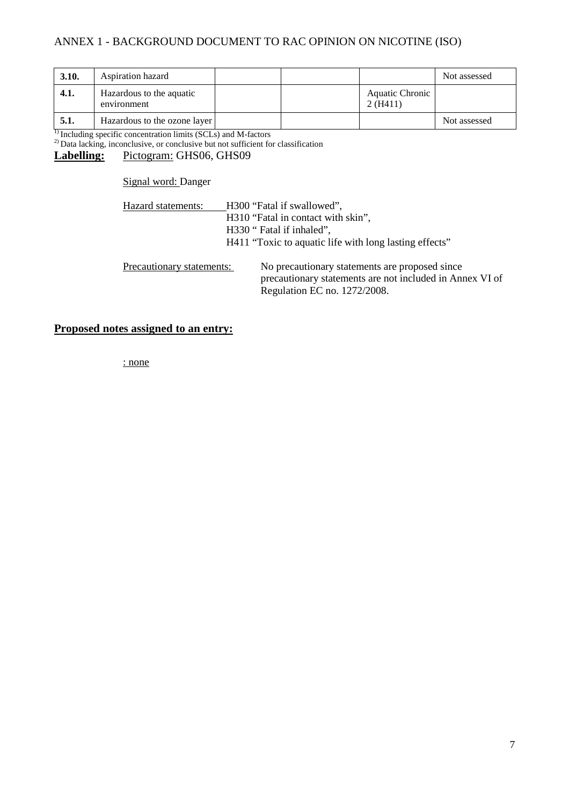| 3.10. | Aspiration hazard                       |  |                            | Not assessed |
|-------|-----------------------------------------|--|----------------------------|--------------|
| 4.1.  | Hazardous to the aquatic<br>environment |  | Aquatic Chronic<br>2(H411) |              |
| 5.1.  | Hazardous to the ozone layer            |  |                            | Not assessed |

<sup>1)</sup> Including specific concentration limits (SCLs) and M-factors

 $^{2)}$  Data lacking, inconclusive, or conclusive but not sufficient for classification

## Labelling: Pictogram: GHS06, GHS09

Signal word: Danger

| Hazard statements:        | H300 "Fatal if swallowed",                                                                                                                 |
|---------------------------|--------------------------------------------------------------------------------------------------------------------------------------------|
|                           | H310 "Fatal in contact with skin",                                                                                                         |
|                           | H330 " Fatal if inhaled",                                                                                                                  |
|                           | H411 "Toxic to aquatic life with long lasting effects"                                                                                     |
| Precautionary statements: | No precautionary statements are proposed since<br>precautionary statements are not included in Annex VI of<br>Regulation EC no. 1272/2008. |

#### **Proposed notes assigned to an entry:**

: none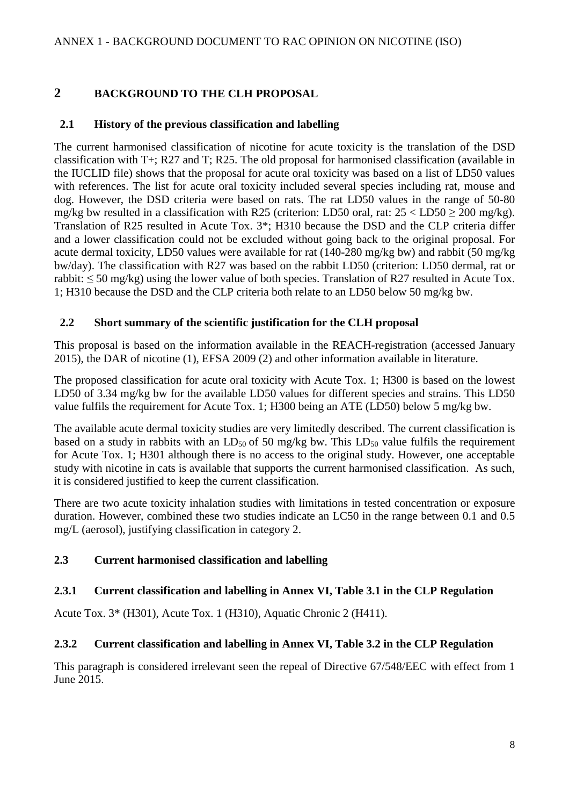# **2 BACKGROUND TO THE CLH PROPOSAL**

# **2.1 History of the previous classification and labelling**

The current harmonised classification of nicotine for acute toxicity is the translation of the DSD classification with T+; R27 and T; R25. The old proposal for harmonised classification (available in the IUCLID file) shows that the proposal for acute oral toxicity was based on a list of LD50 values with references. The list for acute oral toxicity included several species including rat, mouse and dog. However, the DSD criteria were based on rats. The rat LD50 values in the range of 50-80 mg/kg bw resulted in a classification with R25 (criterion: LD50 oral, rat:  $25 <$  LD50  $\geq$  200 mg/kg). Translation of R25 resulted in Acute Tox. 3\*; H310 because the DSD and the CLP criteria differ and a lower classification could not be excluded without going back to the original proposal. For acute dermal toxicity, LD50 values were available for rat (140-280 mg/kg bw) and rabbit (50 mg/kg bw/day). The classification with R27 was based on the rabbit LD50 (criterion: LD50 dermal, rat or rabbit: ≤ 50 mg/kg) using the lower value of both species. Translation of R27 resulted in Acute Tox. 1; H310 because the DSD and the CLP criteria both relate to an LD50 below 50 mg/kg bw.

## **2.2 Short summary of the scientific justification for the CLH proposal**

This proposal is based on the information available in the REACH-registration (accessed January 2015), the DAR of nicotine (1), EFSA 2009 (2) and other information available in literature.

The proposed classification for acute oral toxicity with Acute Tox. 1; H300 is based on the lowest LD50 of 3.34 mg/kg bw for the available LD50 values for different species and strains. This LD50 value fulfils the requirement for Acute Tox. 1; H300 being an ATE (LD50) below 5 mg/kg bw.

The available acute dermal toxicity studies are very limitedly described. The current classification is based on a study in rabbits with an  $LD_{50}$  of 50 mg/kg bw. This  $LD_{50}$  value fulfils the requirement for Acute Tox. 1; H301 although there is no access to the original study. However, one acceptable study with nicotine in cats is available that supports the current harmonised classification. As such, it is considered justified to keep the current classification.

There are two acute toxicity inhalation studies with limitations in tested concentration or exposure duration. However, combined these two studies indicate an LC50 in the range between 0.1 and 0.5 mg/L (aerosol), justifying classification in category 2.

# **2.3 Current harmonised classification and labelling**

## **2.3.1 Current classification and labelling in Annex VI, Table 3.1 in the CLP Regulation**

Acute Tox. 3\* (H301), Acute Tox. 1 (H310), Aquatic Chronic 2 (H411).

# **2.3.2 Current classification and labelling in Annex VI, Table 3.2 in the CLP Regulation**

This paragraph is considered irrelevant seen the repeal of Directive 67/548/EEC with effect from 1 June 2015.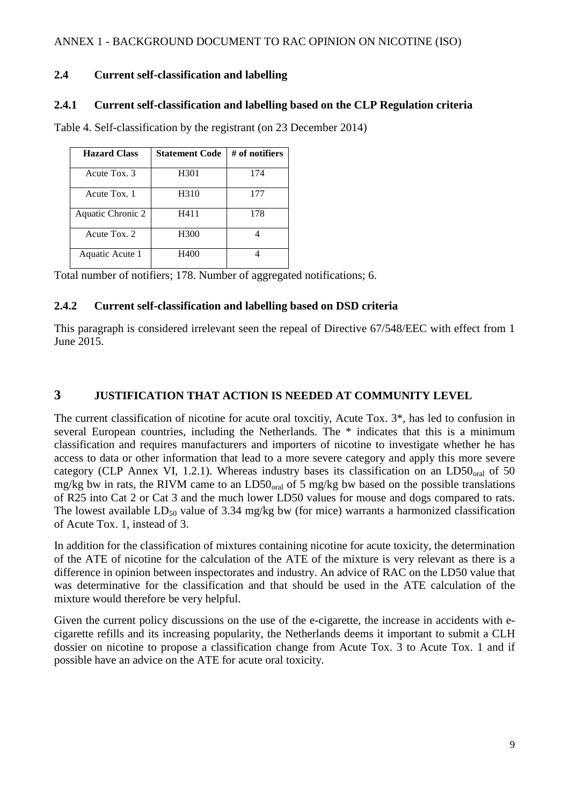## **2.4 Current self-classification and labelling**

#### **2.4.1 Current self-classification and labelling based on the CLP Regulation criteria**

| <b>Hazard Class</b> | <b>Statement Code</b> | # of notifiers |
|---------------------|-----------------------|----------------|
| Acute Tox. 3        | H301                  | 174            |
| Acute Tox. 1        | H310                  | 177            |
| Aquatic Chronic 2   | H411                  | 178            |
| Acute Tox. 2        | H300                  |                |
| Aquatic Acute 1     | H400                  |                |

Table 4. Self-classification by the registrant (on 23 December 2014)

Total number of notifiers; 178. Number of aggregated notifications; 6.

#### **2.4.2 Current self-classification and labelling based on DSD criteria**

This paragraph is considered irrelevant seen the repeal of Directive 67/548/EEC with effect from 1 June 2015.

## **3 JUSTIFICATION THAT ACTION IS NEEDED AT COMMUNITY LEVEL**

The current classification of nicotine for acute oral toxcitiy, Acute Tox. 3\*, has led to confusion in several European countries, including the Netherlands. The \* indicates that this is a minimum classification and requires manufacturers and importers of nicotine to investigate whether he has access to data or other information that lead to a more severe category and apply this more severe category (CLP Annex VI, 1.2.1). Whereas industry bases its classification on an  $LD50<sub>oral</sub>$  of 50 mg/kg bw in rats, the RIVM came to an  $LD50<sub>oral</sub>$  of 5 mg/kg bw based on the possible translations of R25 into Cat 2 or Cat 3 and the much lower LD50 values for mouse and dogs compared to rats. The lowest available  $LD_{50}$  value of 3.34 mg/kg bw (for mice) warrants a harmonized classification of Acute Tox. 1, instead of 3.

In addition for the classification of mixtures containing nicotine for acute toxicity, the determination of the ATE of nicotine for the calculation of the ATE of the mixture is very relevant as there is a difference in opinion between inspectorates and industry. An advice of RAC on the LD50 value that was determinative for the classification and that should be used in the ATE calculation of the mixture would therefore be very helpful.

Given the current policy discussions on the use of the e-cigarette, the increase in accidents with ecigarette refills and its increasing popularity, the Netherlands deems it important to submit a CLH dossier on nicotine to propose a classification change from Acute Tox. 3 to Acute Tox. 1 and if possible have an advice on the ATE for acute oral toxicity.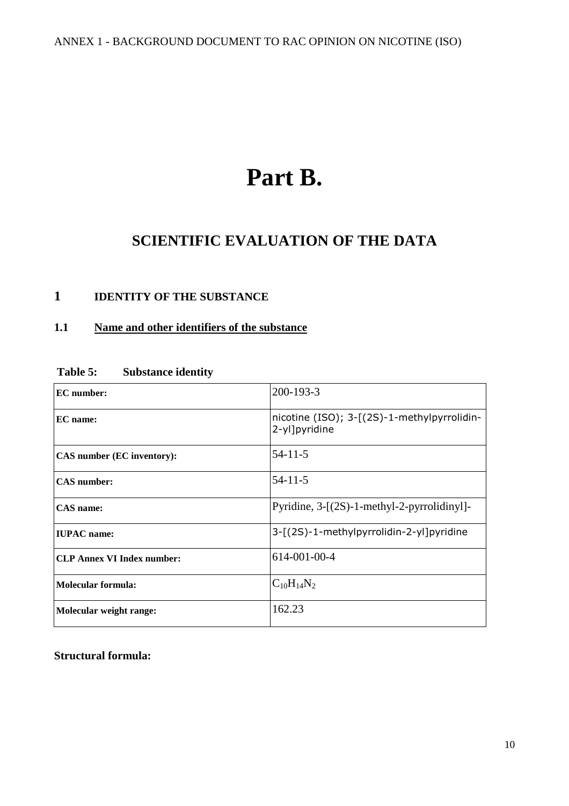# **Part B.**

# **SCIENTIFIC EVALUATION OF THE DATA**

# **1 IDENTITY OF THE SUBSTANCE**

# **1.1 Name and other identifiers of the substance**

| <b>EC</b> number:                 | 200-193-3                                                    |  |
|-----------------------------------|--------------------------------------------------------------|--|
| EC name:                          | nicotine (ISO); 3-[(2S)-1-methylpyrrolidin-<br>2-yl]pyridine |  |
| CAS number (EC inventory):        | $54 - 11 - 5$                                                |  |
| <b>CAS</b> number:                | $54 - 11 - 5$                                                |  |
| <b>CAS</b> name:                  | Pyridine, 3-[(2S)-1-methyl-2-pyrrolidinyl]-                  |  |
| <b>IUPAC</b> name:                | 3-[(2S)-1-methylpyrrolidin-2-yl]pyridine                     |  |
| <b>CLP Annex VI Index number:</b> | 614-001-00-4                                                 |  |
| Molecular formula:                | $C_{10}H_{14}N_2$                                            |  |
| Molecular weight range:           | 162.23                                                       |  |

#### **Table 5: Substance identity**

**Structural formula:**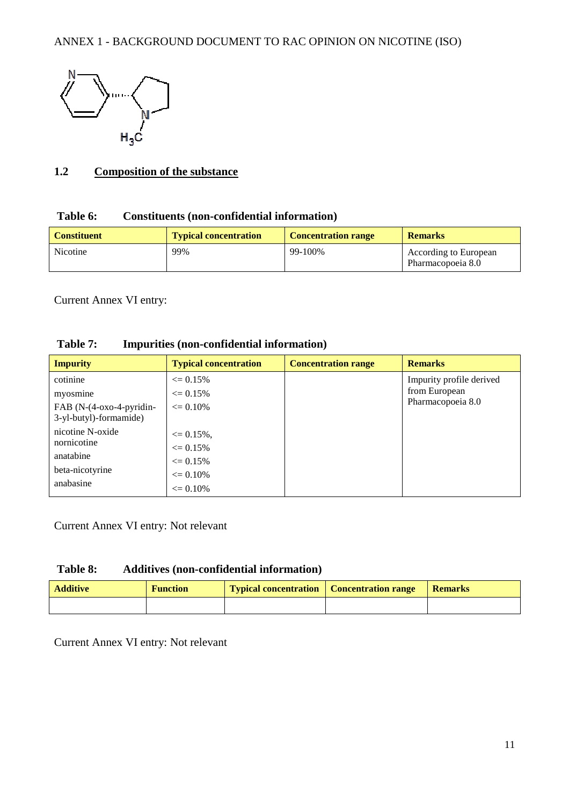

#### **1.2 Composition of the substance**

#### **Table 6: Constituents (non-confidential information)**

| <b>Constituent</b> | <b>Typical concentration</b> | <b>Concentration range</b> | <b>Remarks</b>                                    |
|--------------------|------------------------------|----------------------------|---------------------------------------------------|
| Nicotine           | 99%                          | 99-100%                    | <b>According to European</b><br>Pharmacopoeia 8.0 |

Current Annex VI entry:

| Table 7: |  | Impurities (non-confidential information) |  |
|----------|--|-------------------------------------------|--|
|----------|--|-------------------------------------------|--|

| <b>Impurity</b>          | <b>Typical concentration</b> | <b>Concentration range</b> | <b>Remarks</b>           |
|--------------------------|------------------------------|----------------------------|--------------------------|
| cotinine                 | $\epsilon = 0.15\%$          |                            | Impurity profile derived |
| myosmine                 | $\leq 0.15\%$                |                            | from European            |
| FAB (N-(4-oxo-4-pyridin- | $\leq 0.10\%$                |                            | Pharmacopoeia 8.0        |
| 3-yl-butyl)-formamide)   |                              |                            |                          |
| nicotine N-oxide         | $\leq 0.15\%$ .              |                            |                          |
| nornicotine              | $\epsilon = 0.15\%$          |                            |                          |
| anatabine                | $\epsilon = 0.15\%$          |                            |                          |
| beta-nicotyrine          | $\epsilon = 0.10\%$          |                            |                          |
| anabasine                | $\leq 0.10\%$                |                            |                          |

Current Annex VI entry: Not relevant

#### **Table 8: Additives (non-confidential information)**

| <b>Additive</b> | <b>Function</b> | Typical concentration   Concentration range | Remarks |
|-----------------|-----------------|---------------------------------------------|---------|
|                 |                 |                                             |         |

Current Annex VI entry: Not relevant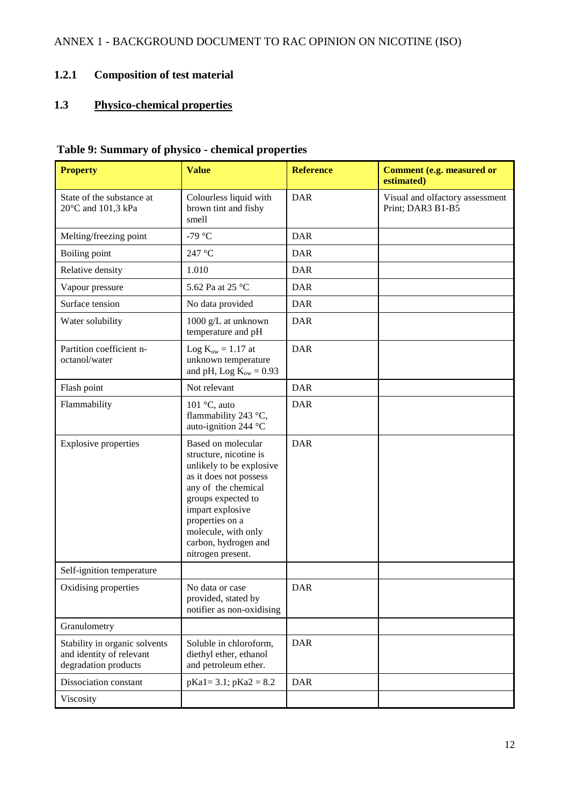# **1.2.1 Composition of test material**

# **1.3 Physico-chemical properties**

# **Table 9: Summary of physico - chemical properties**

| <b>Property</b>                                                                   | <b>Value</b>                                                                                                                                                                                                                                               | <b>Reference</b> | <b>Comment (e.g. measured or</b><br>estimated)       |
|-----------------------------------------------------------------------------------|------------------------------------------------------------------------------------------------------------------------------------------------------------------------------------------------------------------------------------------------------------|------------------|------------------------------------------------------|
| State of the substance at<br>20°C and 101,3 kPa                                   | Colourless liquid with<br>brown tint and fishy<br>smell                                                                                                                                                                                                    | <b>DAR</b>       | Visual and olfactory assessment<br>Print; DAR3 B1-B5 |
| Melting/freezing point                                                            | -79 $\degree$ C                                                                                                                                                                                                                                            | <b>DAR</b>       |                                                      |
| Boiling point                                                                     | 247 °C                                                                                                                                                                                                                                                     | <b>DAR</b>       |                                                      |
| Relative density                                                                  | 1.010                                                                                                                                                                                                                                                      | <b>DAR</b>       |                                                      |
| Vapour pressure                                                                   | 5.62 Pa at 25 °C                                                                                                                                                                                                                                           | <b>DAR</b>       |                                                      |
| Surface tension                                                                   | No data provided                                                                                                                                                                                                                                           | <b>DAR</b>       |                                                      |
| Water solubility                                                                  | 1000 g/L at unknown<br>temperature and pH                                                                                                                                                                                                                  | <b>DAR</b>       |                                                      |
| Partition coefficient n-<br>octanol/water                                         | Log $K_{ow} = 1.17$ at<br>unknown temperature<br>and pH, Log $K_{ow} = 0.93$                                                                                                                                                                               | <b>DAR</b>       |                                                      |
| Flash point                                                                       | Not relevant                                                                                                                                                                                                                                               | <b>DAR</b>       |                                                      |
| Flammability                                                                      | 101 $\degree$ C, auto<br>flammability 243 °C,<br>auto-ignition 244 °C                                                                                                                                                                                      | <b>DAR</b>       |                                                      |
| <b>Explosive properties</b>                                                       | Based on molecular<br>structure, nicotine is<br>unlikely to be explosive<br>as it does not possess<br>any of the chemical<br>groups expected to<br>impart explosive<br>properties on a<br>molecule, with only<br>carbon, hydrogen and<br>nitrogen present. | <b>DAR</b>       |                                                      |
| Self-ignition temperature                                                         |                                                                                                                                                                                                                                                            |                  |                                                      |
| Oxidising properties                                                              | No data or case<br>provided, stated by<br>notifier as non-oxidising                                                                                                                                                                                        | <b>DAR</b>       |                                                      |
| Granulometry                                                                      |                                                                                                                                                                                                                                                            |                  |                                                      |
| Stability in organic solvents<br>and identity of relevant<br>degradation products | Soluble in chloroform,<br>diethyl ether, ethanol<br>and petroleum ether.                                                                                                                                                                                   | <b>DAR</b>       |                                                      |
| Dissociation constant                                                             | $pKa1 = 3.1$ ; $pKa2 = 8.2$                                                                                                                                                                                                                                | <b>DAR</b>       |                                                      |
| Viscosity                                                                         |                                                                                                                                                                                                                                                            |                  |                                                      |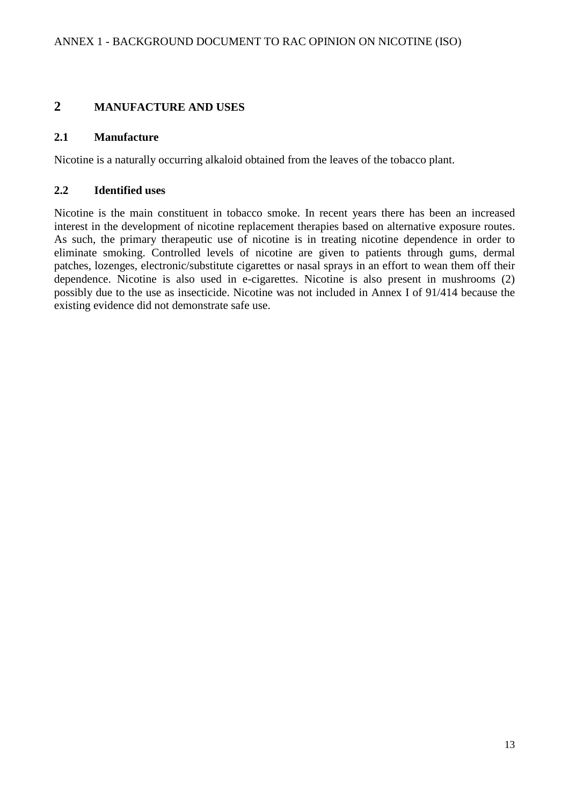### **2 MANUFACTURE AND USES**

#### **2.1 Manufacture**

Nicotine is a naturally occurring alkaloid obtained from the leaves of the tobacco plant.

#### **2.2 Identified uses**

Nicotine is the main constituent in tobacco smoke. In recent years there has been an increased interest in the development of nicotine replacement therapies based on alternative exposure routes. As such, the primary therapeutic use of nicotine is in treating nicotine dependence in order to eliminate smoking. Controlled levels of nicotine are given to patients through gums, dermal patches, lozenges, electronic/substitute cigarettes or nasal sprays in an effort to wean them off their dependence. Nicotine is also used in e-cigarettes. Nicotine is also present in mushrooms (2) possibly due to the use as insecticide. Nicotine was not included in Annex I of 91/414 because the existing evidence did not demonstrate safe use.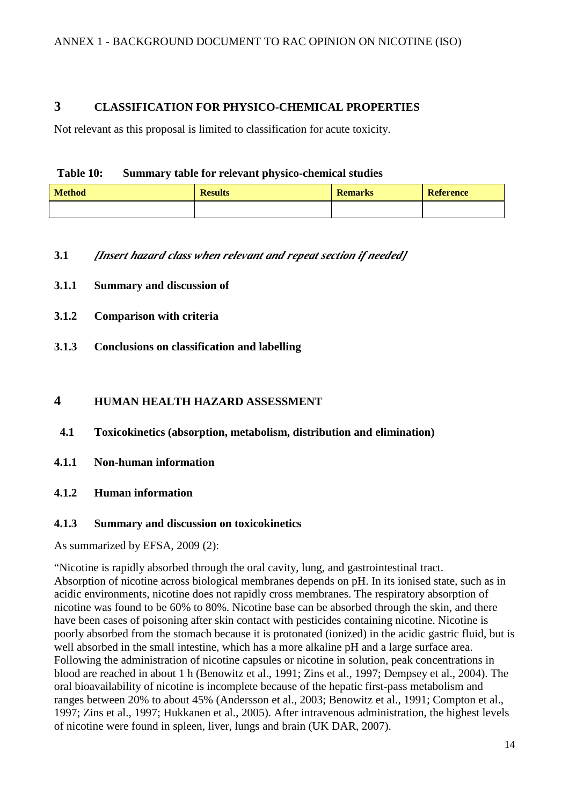#### **3 CLASSIFICATION FOR PHYSICO-CHEMICAL PROPERTIES**

Not relevant as this proposal is limited to classification for acute toxicity.

#### **Table 10: Summary table for relevant physico-chemical studies**

| <b>Method</b> | <b>Results</b> | <b>Remarks</b> | <b>Reference</b> |
|---------------|----------------|----------------|------------------|
|               |                |                |                  |

#### **3.1** *[Insert hazard class when relevant and repeat section if needed]*

- **3.1.1 Summary and discussion of**
- **3.1.2 Comparison with criteria**
- **3.1.3 Conclusions on classification and labelling**

#### **4 HUMAN HEALTH HAZARD ASSESSMENT**

**4.1 Toxicokinetics (absorption, metabolism, distribution and elimination)** 

- **4.1.1 Non-human information**
- **4.1.2 Human information**

#### **4.1.3 Summary and discussion on toxicokinetics**

As summarized by EFSA, 2009 (2):

"Nicotine is rapidly absorbed through the oral cavity, lung, and gastrointestinal tract. Absorption of nicotine across biological membranes depends on pH. In its ionised state, such as in acidic environments, nicotine does not rapidly cross membranes. The respiratory absorption of nicotine was found to be 60% to 80%. Nicotine base can be absorbed through the skin, and there have been cases of poisoning after skin contact with pesticides containing nicotine. Nicotine is poorly absorbed from the stomach because it is protonated (ionized) in the acidic gastric fluid, but is well absorbed in the small intestine, which has a more alkaline pH and a large surface area. Following the administration of nicotine capsules or nicotine in solution, peak concentrations in blood are reached in about 1 h (Benowitz et al., 1991; Zins et al., 1997; Dempsey et al., 2004). The oral bioavailability of nicotine is incomplete because of the hepatic first-pass metabolism and ranges between 20% to about 45% (Andersson et al., 2003; Benowitz et al., 1991; Compton et al., 1997; Zins et al., 1997; Hukkanen et al., 2005). After intravenous administration, the highest levels of nicotine were found in spleen, liver, lungs and brain (UK DAR, 2007).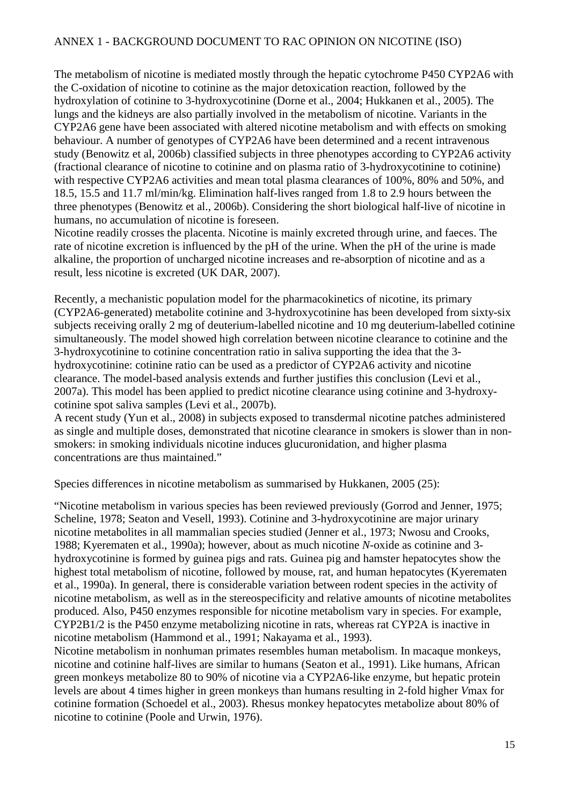The metabolism of nicotine is mediated mostly through the hepatic cytochrome P450 CYP2A6 with the C-oxidation of nicotine to cotinine as the major detoxication reaction, followed by the hydroxylation of cotinine to 3-hydroxycotinine (Dorne et al., 2004; Hukkanen et al., 2005). The lungs and the kidneys are also partially involved in the metabolism of nicotine. Variants in the CYP2A6 gene have been associated with altered nicotine metabolism and with effects on smoking behaviour. A number of genotypes of CYP2A6 have been determined and a recent intravenous study (Benowitz et al, 2006b) classified subjects in three phenotypes according to CYP2A6 activity (fractional clearance of nicotine to cotinine and on plasma ratio of 3-hydroxycotinine to cotinine) with respective CYP2A6 activities and mean total plasma clearances of 100%, 80% and 50%, and 18.5, 15.5 and 11.7 ml/min/kg. Elimination half-lives ranged from 1.8 to 2.9 hours between the three phenotypes (Benowitz et al., 2006b). Considering the short biological half-live of nicotine in humans, no accumulation of nicotine is foreseen.

Nicotine readily crosses the placenta. Nicotine is mainly excreted through urine, and faeces. The rate of nicotine excretion is influenced by the pH of the urine. When the pH of the urine is made alkaline, the proportion of uncharged nicotine increases and re-absorption of nicotine and as a result, less nicotine is excreted (UK DAR, 2007).

Recently, a mechanistic population model for the pharmacokinetics of nicotine, its primary (CYP2A6-generated) metabolite cotinine and 3-hydroxycotinine has been developed from sixty-six subjects receiving orally 2 mg of deuterium-labelled nicotine and 10 mg deuterium-labelled cotinine simultaneously. The model showed high correlation between nicotine clearance to cotinine and the 3-hydroxycotinine to cotinine concentration ratio in saliva supporting the idea that the 3 hydroxycotinine: cotinine ratio can be used as a predictor of CYP2A6 activity and nicotine clearance. The model-based analysis extends and further justifies this conclusion (Levi et al., 2007a). This model has been applied to predict nicotine clearance using cotinine and 3-hydroxycotinine spot saliva samples (Levi et al., 2007b).

A recent study (Yun et al., 2008) in subjects exposed to transdermal nicotine patches administered as single and multiple doses, demonstrated that nicotine clearance in smokers is slower than in nonsmokers: in smoking individuals nicotine induces glucuronidation, and higher plasma concentrations are thus maintained."

Species differences in nicotine metabolism as summarised by Hukkanen, 2005 (25):

"Nicotine metabolism in various species has been reviewed previously (Gorrod and Jenner, 1975; Scheline, 1978; Seaton and Vesell, 1993). Cotinine and 3-hydroxycotinine are major urinary nicotine metabolites in all mammalian species studied (Jenner et al., 1973; Nwosu and Crooks, 1988; Kyerematen et al., 1990a); however, about as much nicotine *N*-oxide as cotinine and 3 hydroxycotinine is formed by guinea pigs and rats. Guinea pig and hamster hepatocytes show the highest total metabolism of nicotine, followed by mouse, rat, and human hepatocytes (Kyerematen) et al., 1990a). In general, there is considerable variation between rodent species in the activity of nicotine metabolism, as well as in the stereospecificity and relative amounts of nicotine metabolites produced. Also, P450 enzymes responsible for nicotine metabolism vary in species. For example, CYP2B1/2 is the P450 enzyme metabolizing nicotine in rats, whereas rat CYP2A is inactive in nicotine metabolism (Hammond et al., 1991; Nakayama et al., 1993).

Nicotine metabolism in nonhuman primates resembles human metabolism. In macaque monkeys, nicotine and cotinine half-lives are similar to humans (Seaton et al., 1991). Like humans, African green monkeys metabolize 80 to 90% of nicotine via a CYP2A6-like enzyme, but hepatic protein levels are about 4 times higher in green monkeys than humans resulting in 2-fold higher *V*max for cotinine formation (Schoedel et al., 2003). Rhesus monkey hepatocytes metabolize about 80% of nicotine to cotinine (Poole and Urwin, 1976).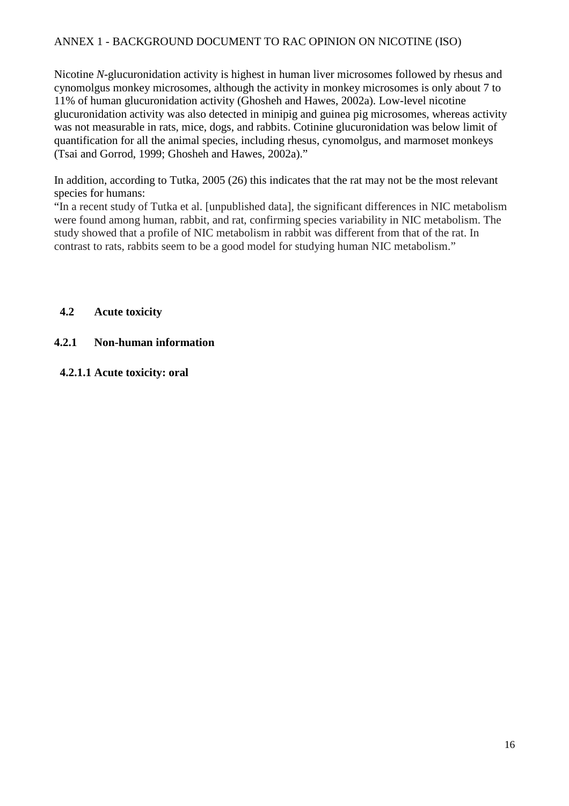Nicotine *N*-glucuronidation activity is highest in human liver microsomes followed by rhesus and cynomolgus monkey microsomes, although the activity in monkey microsomes is only about 7 to 11% of human glucuronidation activity (Ghosheh and Hawes, 2002a). Low-level nicotine glucuronidation activity was also detected in minipig and guinea pig microsomes, whereas activity was not measurable in rats, mice, dogs, and rabbits. Cotinine glucuronidation was below limit of quantification for all the animal species, including rhesus, cynomolgus, and marmoset monkeys (Tsai and Gorrod, 1999; Ghosheh and Hawes, 2002a)."

In addition, according to Tutka, 2005 (26) this indicates that the rat may not be the most relevant species for humans:

"In a recent study of Tutka et al. [unpublished data], the significant differences in NIC metabolism were found among human, rabbit, and rat, confirming species variability in NIC metabolism. The study showed that a profile of NIC metabolism in rabbit was different from that of the rat. In contrast to rats, rabbits seem to be a good model for studying human NIC metabolism."

#### **4.2 Acute toxicity**

#### **4.2.1 Non-human information**

#### **4.2.1.1 Acute toxicity: oral**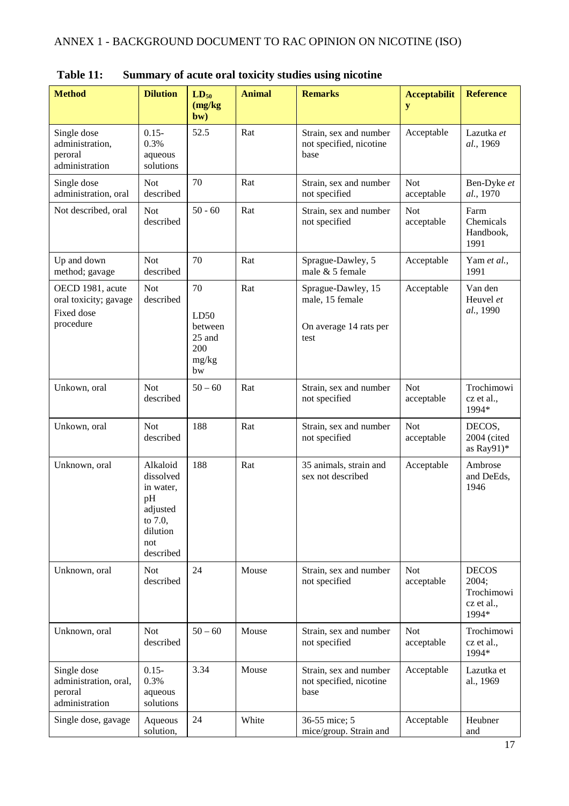| <b>Method</b>                                                        | <b>Dilution</b>                                                                                 | $LD_{50}$<br>(mg/kg)<br>bw)                           | <b>Animal</b><br><b>Remarks</b>                                    |                                                                         | <b>Acceptabilit</b><br>y | <b>Reference</b>                                           |
|----------------------------------------------------------------------|-------------------------------------------------------------------------------------------------|-------------------------------------------------------|--------------------------------------------------------------------|-------------------------------------------------------------------------|--------------------------|------------------------------------------------------------|
| Single dose<br>administration,<br>peroral<br>administration          | $0.15 -$<br>0.3%<br>aqueous<br>solutions                                                        | 52.5                                                  | Rat                                                                | Strain, sex and number<br>not specified, nicotine<br>base               |                          | Lazutka et<br>al., 1969                                    |
| Single dose<br>administration, oral                                  | <b>Not</b><br>described                                                                         | 70                                                    | Rat                                                                | Strain, sex and number<br>not specified                                 | <b>Not</b><br>acceptable | Ben-Dyke et<br>al., 1970                                   |
| Not described, oral                                                  | <b>Not</b><br>described                                                                         | $50 - 60$                                             | Rat                                                                | Strain, sex and number<br>not specified                                 | <b>Not</b><br>acceptable | Farm<br>Chemicals<br>Handbook,<br>1991                     |
| Up and down<br>method; gavage                                        | <b>Not</b><br>described                                                                         | 70                                                    | Rat                                                                | Sprague-Dawley, 5<br>male & 5 female                                    | Acceptable               | Yam et al.,<br>1991                                        |
| OECD 1981, acute<br>oral toxicity; gavage<br>Fixed dose<br>procedure | <b>Not</b><br>described                                                                         | 70<br>LD50<br>between<br>25 and<br>200<br>mg/kg<br>bw | Rat                                                                | Sprague-Dawley, 15<br>male, 15 female<br>On average 14 rats per<br>test |                          | Van den<br>Heuvel et<br>al., 1990                          |
| Unkown, oral                                                         | <b>Not</b><br>described                                                                         | $50 - 60$                                             | Rat                                                                | Strain, sex and number<br><b>Not</b><br>not specified<br>acceptable     |                          | Trochimowi<br>cz et al.,<br>1994*                          |
| Unkown, oral                                                         | <b>Not</b><br>described                                                                         | 188                                                   | Rat                                                                | Strain, sex and number<br><b>Not</b><br>not specified<br>acceptable     |                          | DECOS,<br>2004 (cited<br>as Ray91)*                        |
| Unknown, oral                                                        | Alkaloid<br>dissolved<br>in water,<br>pH<br>adjusted<br>to 7.0,<br>dilution<br>not<br>described | 188                                                   | Rat                                                                | 35 animals, strain and<br>Acceptable<br>sex not described               |                          | Ambrose<br>and DeEds,<br>1946                              |
| Unknown, oral                                                        | <b>Not</b><br>described                                                                         | 24                                                    | Mouse<br>Strain, sex and number<br>not specified                   |                                                                         | <b>Not</b><br>acceptable | <b>DECOS</b><br>2004;<br>Trochimowi<br>cz et al.,<br>1994* |
| Unknown, oral                                                        | <b>Not</b><br>described                                                                         | $50 - 60$                                             | Mouse                                                              | Strain, sex and number<br>not specified                                 | <b>Not</b><br>acceptable | Trochimowi<br>cz et al.,<br>1994*                          |
| Single dose<br>administration, oral,<br>peroral<br>administration    | $0.15 -$<br>0.3%<br>aqueous<br>solutions                                                        | 3.34                                                  | Mouse<br>Strain, sex and number<br>not specified, nicotine<br>base |                                                                         | Acceptable               | Lazutka et<br>al., 1969                                    |
| Single dose, gavage                                                  | Aqueous<br>solution,                                                                            | 24                                                    | White                                                              | 36-55 mice; 5<br>mice/group. Strain and                                 | Acceptable               | Heubner<br>and                                             |

**Table 11: Summary of acute oral toxicity studies using nicotine**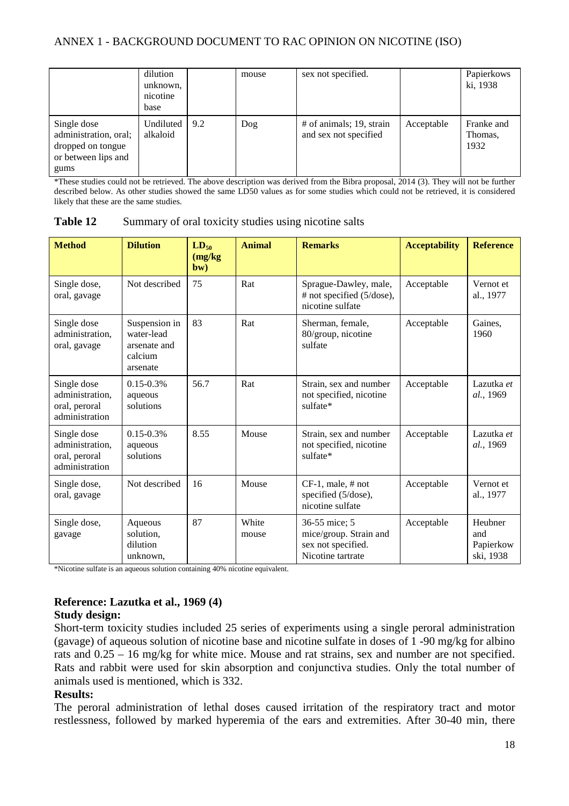|                                                                                          | dilution<br>unknown,<br>nicotine<br>base |     | mouse | sex not specified.                                  |            | Papierkows<br>ki, 1938        |
|------------------------------------------------------------------------------------------|------------------------------------------|-----|-------|-----------------------------------------------------|------------|-------------------------------|
| Single dose<br>administration, oral;<br>dropped on tongue<br>or between lips and<br>gums | Undiluted<br>alkaloid                    | 9.2 | Dog   | $#$ of animals; 19, strain<br>and sex not specified | Acceptable | Franke and<br>Thomas,<br>1932 |

\*These studies could not be retrieved. The above description was derived from the Bibra proposal, 2014 (3). They will not be further described below. As other studies showed the same LD50 values as for some studies which could not be retrieved, it is considered likely that these are the same studies.

| Table 12 | Summary of oral toxicity studies using nicotine salts |  |  |  |  |  |  |
|----------|-------------------------------------------------------|--|--|--|--|--|--|
|----------|-------------------------------------------------------|--|--|--|--|--|--|

| <b>Method</b>                                                     | <b>Dilution</b>                                                    | $LD_{50}$<br>(mg/kg)<br>bw) | <b>Animal</b>                                                                                        | <b>Remarks</b>                                                         | <b>Acceptability</b> | <b>Reference</b>                         |
|-------------------------------------------------------------------|--------------------------------------------------------------------|-----------------------------|------------------------------------------------------------------------------------------------------|------------------------------------------------------------------------|----------------------|------------------------------------------|
| Single dose,<br>oral, gavage                                      | Not described                                                      | 75                          | Rat                                                                                                  | Sprague-Dawley, male,<br># not specified (5/dose),<br>nicotine sulfate | Acceptable           | Vernot et<br>al., 1977                   |
| Single dose<br>administration,<br>oral, gavage                    | Suspension in<br>water-lead<br>arsenate and<br>calcium<br>arsenate | 83                          | Rat<br>Sherman, female,<br>80/group, nicotine<br>sulfate                                             |                                                                        | Acceptable           | Gaines.<br>1960                          |
| Single dose<br>administration,<br>oral, peroral<br>administration | $0.15 - 0.3\%$<br>aqueous<br>solutions                             | 56.7                        | Rat                                                                                                  | Strain, sex and number<br>not specified, nicotine<br>sulfate*          | Acceptable           | Lazutka et<br>al., 1969                  |
| Single dose<br>administration,<br>oral, peroral<br>administration | $0.15 - 0.3\%$<br>aqueous<br>solutions                             | 8.55                        | Mouse<br>Strain, sex and number<br>not specified, nicotine<br>sulfate*                               |                                                                        | Acceptable           | Lazutka et<br>al., 1969                  |
| Single dose,<br>oral, gavage                                      | Not described                                                      | 16                          | Mouse<br>$CF-1$ , male, # not<br>specified (5/dose),<br>nicotine sulfate                             |                                                                        | Acceptable           | Vernot et<br>al., 1977                   |
| Single dose,<br>gavage                                            | Aqueous<br>solution,<br>dilution<br>unknown,                       | 87                          | White<br>36-55 mice; 5<br>mice/group. Strain and<br>mouse<br>sex not specified.<br>Nicotine tartrate |                                                                        | Acceptable           | Heubner<br>and<br>Papierkow<br>ski, 1938 |

\*Nicotine sulfate is an aqueous solution containing 40% nicotine equivalent.

#### **Reference: Lazutka et al., 1969 (4) Study design:**

Short-term toxicity studies included 25 series of experiments using a single peroral administration (gavage) of aqueous solution of nicotine base and nicotine sulfate in doses of 1 -90 mg/kg for albino rats and 0.25 – 16 mg/kg for white mice. Mouse and rat strains, sex and number are not specified. Rats and rabbit were used for skin absorption and conjunctiva studies. Only the total number of animals used is mentioned, which is 332.

#### **Results:**

The peroral administration of lethal doses caused irritation of the respiratory tract and motor restlessness, followed by marked hyperemia of the ears and extremities. After 30-40 min, there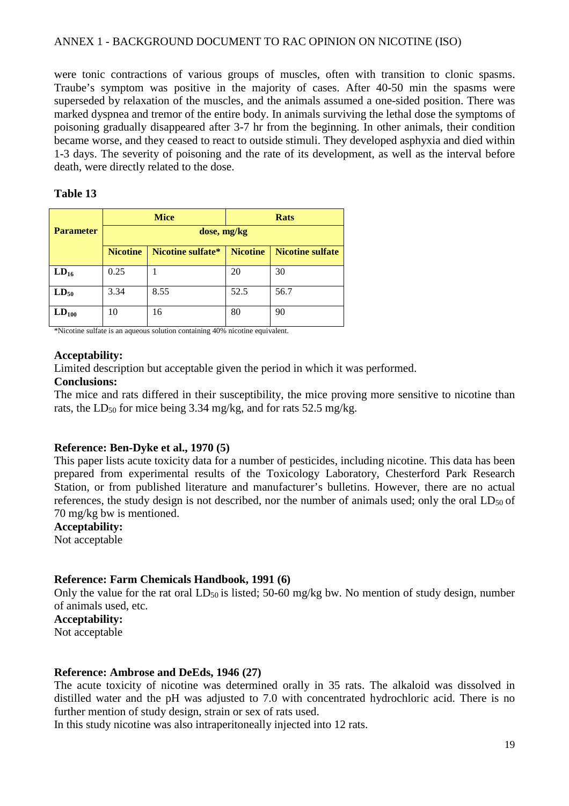were tonic contractions of various groups of muscles, often with transition to clonic spasms. Traube's symptom was positive in the majority of cases. After 40-50 min the spasms were superseded by relaxation of the muscles, and the animals assumed a one-sided position. There was marked dyspnea and tremor of the entire body. In animals surviving the lethal dose the symptoms of poisoning gradually disappeared after 3-7 hr from the beginning. In other animals, their condition became worse, and they ceased to react to outside stimuli. They developed asphyxia and died within 1-3 days. The severity of poisoning and the rate of its development, as well as the interval before death, were directly related to the dose.

#### **Table 13**

|                  |                 | <b>Mice</b>       |                 | <b>Rats</b>             |
|------------------|-----------------|-------------------|-----------------|-------------------------|
| <b>Parameter</b> | dose, mg/kg     |                   |                 |                         |
|                  | <b>Nicotine</b> | Nicotine sulfate* | <b>Nicotine</b> | <b>Nicotine sulfate</b> |
| $LD_{16}$        | 0.25            |                   | 20              | 30                      |
| $LD_{50}$        | 3.34            | 8.55              | 52.5            | 56.7                    |
| $LD_{100}$       | 10              | 16                | 80              | 90                      |

\*Nicotine sulfate is an aqueous solution containing 40% nicotine equivalent.

#### **Acceptability:**

Limited description but acceptable given the period in which it was performed.

#### **Conclusions:**

The mice and rats differed in their susceptibility, the mice proving more sensitive to nicotine than rats, the LD<sub>50</sub> for mice being 3.34 mg/kg, and for rats 52.5 mg/kg.

#### **Reference: Ben-Dyke et al., 1970 (5)**

This paper lists acute toxicity data for a number of pesticides, including nicotine. This data has been prepared from experimental results of the Toxicology Laboratory, Chesterford Park Research Station, or from published literature and manufacturer's bulletins. However, there are no actual references, the study design is not described, nor the number of animals used; only the oral  $LD_{50}$  of 70 mg/kg bw is mentioned.

#### **Acceptability:**

Not acceptable

#### **Reference: Farm Chemicals Handbook, 1991 (6)**

Only the value for the rat oral  $LD_{50}$  is listed; 50-60 mg/kg bw. No mention of study design, number of animals used, etc.

**Acceptability:**  Not acceptable

#### **Reference: Ambrose and DeEds, 1946 (27)**

The acute toxicity of nicotine was determined orally in 35 rats. The alkaloid was dissolved in distilled water and the pH was adjusted to 7.0 with concentrated hydrochloric acid. There is no further mention of study design, strain or sex of rats used.

In this study nicotine was also intraperitoneally injected into 12 rats.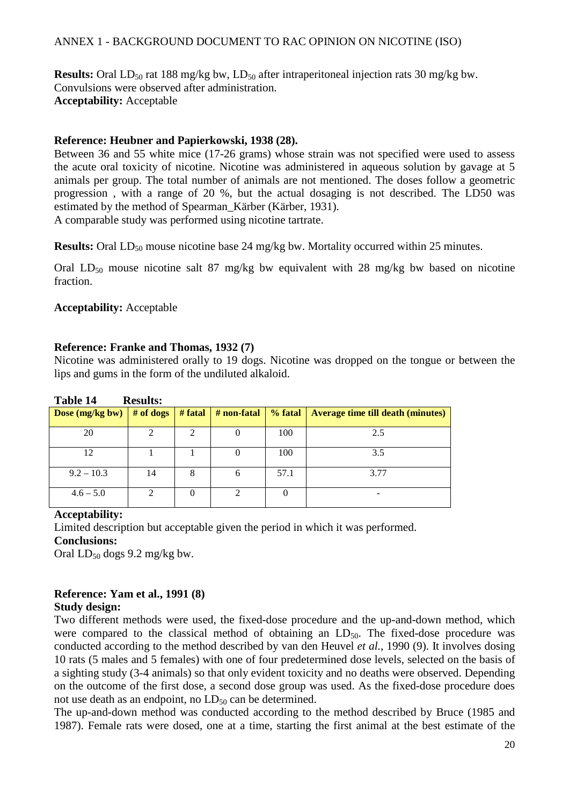**Results:** Oral LD<sub>50</sub> rat 188 mg/kg bw, LD<sub>50</sub> after intraperitoneal injection rats 30 mg/kg bw. Convulsions were observed after administration. **Acceptability:** Acceptable

#### **Reference: Heubner and Papierkowski, 1938 (28).**

Between 36 and 55 white mice (17-26 grams) whose strain was not specified were used to assess the acute oral toxicity of nicotine. Nicotine was administered in aqueous solution by gavage at 5 animals per group. The total number of animals are not mentioned. The doses follow a geometric progression , with a range of 20 %, but the actual dosaging is not described. The LD50 was estimated by the method of Spearman Kärber (Kärber, 1931). A comparable study was performed using nicotine tartrate.

**Results:** Oral LD<sub>50</sub> mouse nicotine base 24 mg/kg bw. Mortality occurred within 25 minutes.

Oral LD<sub>50</sub> mouse nicotine salt 87 mg/kg bw equivalent with 28 mg/kg bw based on nicotine fraction.

#### **Acceptability:** Acceptable

#### **Reference: Franke and Thomas, 1932 (7)**

Nicotine was administered orally to 19 dogs. Nicotine was dropped on the tongue or between the lips and gums in the form of the undiluted alkaloid.

| Dose (mg/kg bw) | $#$ of dogs | $#$ fatal | # non-fatal | % fatal  | <b>Average time till death (minutes)</b> |
|-----------------|-------------|-----------|-------------|----------|------------------------------------------|
| 20              |             | 2         |             | 100      | 2.5                                      |
| 12              |             |           |             | 100      | 3.5                                      |
| $9.2 - 10.3$    | 14          | 8         |             | 57.1     | 3.77                                     |
| $4.6 - 5.0$     |             | 0         |             | $\theta$ |                                          |

#### **Table 14 Results:**

#### **Acceptability:**

Limited description but acceptable given the period in which it was performed.

#### **Conclusions:**

Oral  $LD_{50}$  dogs 9.2 mg/kg bw.

## **Reference: Yam et al., 1991 (8)**

#### **Study design:**

Two different methods were used, the fixed-dose procedure and the up-and-down method, which were compared to the classical method of obtaining an  $LD_{50}$ . The fixed-dose procedure was conducted according to the method described by van den Heuvel *et al.*, 1990 (9). It involves dosing 10 rats (5 males and 5 females) with one of four predetermined dose levels, selected on the basis of a sighting study (3-4 animals) so that only evident toxicity and no deaths were observed. Depending on the outcome of the first dose, a second dose group was used. As the fixed-dose procedure does not use death as an endpoint, no  $LD_{50}$  can be determined.

The up-and-down method was conducted according to the method described by Bruce (1985 and 1987). Female rats were dosed, one at a time, starting the first animal at the best estimate of the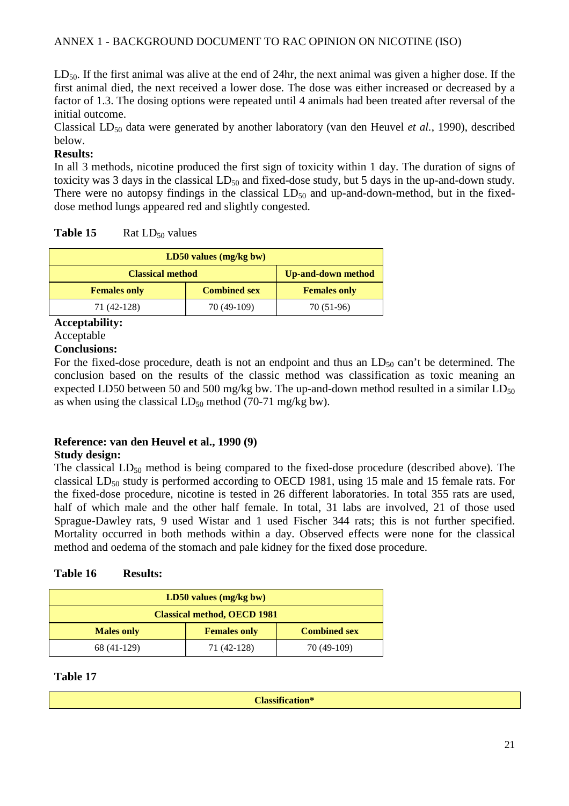$LD_{50}$ . If the first animal was alive at the end of 24hr, the next animal was given a higher dose. If the first animal died, the next received a lower dose. The dose was either increased or decreased by a factor of 1.3. The dosing options were repeated until 4 animals had been treated after reversal of the initial outcome.

Classical LD<sub>50</sub> data were generated by another laboratory (van den Heuvel *et al.*, 1990), described below.

## **Results:**

In all 3 methods, nicotine produced the first sign of toxicity within 1 day. The duration of signs of toxicity was 3 days in the classical  $LD_{50}$  and fixed-dose study, but 5 days in the up-and-down study. There were no autopsy findings in the classical  $LD_{50}$  and up-and-down-method, but in the fixeddose method lungs appeared red and slightly congested.

| Table 15 | Rat $LD_{50}$ values |
|----------|----------------------|
|----------|----------------------|

| $LD50$ values (mg/kg bw)                             |             |                     |  |  |  |
|------------------------------------------------------|-------------|---------------------|--|--|--|
| <b>Classical method</b><br><b>Up-and-down method</b> |             |                     |  |  |  |
| <b>Combined sex</b><br><b>Females only</b>           |             | <b>Females only</b> |  |  |  |
| 71 (42-128)                                          | 70 (49-109) | 70 (51-96)          |  |  |  |

**Acceptability:** 

Acceptable

#### **Conclusions:**

For the fixed-dose procedure, death is not an endpoint and thus an  $LD_{50}$  can't be determined. The conclusion based on the results of the classic method was classification as toxic meaning an expected LD50 between 50 and 500 mg/kg bw. The up-and-down method resulted in a similar  $LD_{50}$ as when using the classical  $LD_{50}$  method (70-71 mg/kg bw).

# **Reference: van den Heuvel et al., 1990 (9)**

#### **Study design:**

The classical  $LD_{50}$  method is being compared to the fixed-dose procedure (described above). The classical  $LD_{50}$  study is performed according to OECD 1981, using 15 male and 15 female rats. For the fixed-dose procedure, nicotine is tested in 26 different laboratories. In total 355 rats are used, half of which male and the other half female. In total, 31 labs are involved, 21 of those used Sprague-Dawley rats, 9 used Wistar and 1 used Fischer 344 rats; this is not further specified. Mortality occurred in both methods within a day. Observed effects were none for the classical method and oedema of the stomach and pale kidney for the fixed dose procedure.

#### **Table 16 Results:**

| $LD50$ values (mg/kg bw)                                        |             |             |  |  |
|-----------------------------------------------------------------|-------------|-------------|--|--|
| <b>Classical method, OECD 1981</b>                              |             |             |  |  |
| <b>Combined sex</b><br><b>Females only</b><br><b>Males only</b> |             |             |  |  |
| 68 (41-129)                                                     | 71 (42-128) | 70 (49-109) |  |  |

#### **Table 17**

**Classification\***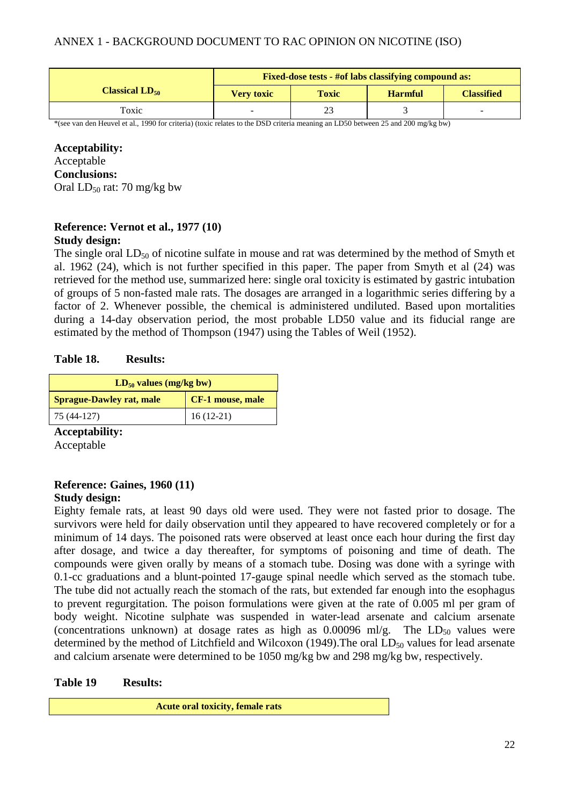|                     | <b>Fixed-dose tests - #of labs classifying compound as:</b>              |    |  |  |  |
|---------------------|--------------------------------------------------------------------------|----|--|--|--|
| Classical $LD_{50}$ | <b>Classified</b><br><b>Toxic</b><br><b>Harmful</b><br><b>Very toxic</b> |    |  |  |  |
| Toxic               | -                                                                        | 23 |  |  |  |

\*(see van den Heuvel et al., 1990 for criteria) (toxic relates to the DSD criteria meaning an LD50 between 25 and 200 mg/kg bw)

#### **Acceptability:**

Acceptable **Conclusions:** 

Oral  $LD_{50}$  rat: 70 mg/kg bw

#### **Reference: Vernot et al., 1977 (10) Study design:**

The single oral  $LD_{50}$  of nicotine sulfate in mouse and rat was determined by the method of Smyth et al. 1962 (24), which is not further specified in this paper. The paper from Smyth et al (24) was retrieved for the method use, summarized here: single oral toxicity is estimated by gastric intubation of groups of 5 non-fasted male rats. The dosages are arranged in a logarithmic series differing by a factor of 2. Whenever possible, the chemical is administered undiluted. Based upon mortalities during a 14-day observation period, the most probable LD50 value and its fiducial range are estimated by the method of Thompson (1947) using the Tables of Weil (1952).

#### **Table 18. Results:**

| $LD_{50}$ values (mg/kg bw)                         |             |  |  |
|-----------------------------------------------------|-------------|--|--|
| CF-1 mouse, male<br><b>Sprague-Dawley rat, male</b> |             |  |  |
| 75 (44-127)                                         | $16(12-21)$ |  |  |

**Acceptability:** 

Acceptable

#### **Reference: Gaines, 1960 (11) Study design:**

Eighty female rats, at least 90 days old were used. They were not fasted prior to dosage. The survivors were held for daily observation until they appeared to have recovered completely or for a minimum of 14 days. The poisoned rats were observed at least once each hour during the first day after dosage, and twice a day thereafter, for symptoms of poisoning and time of death. The compounds were given orally by means of a stomach tube. Dosing was done with a syringe with 0.1-cc graduations and a blunt-pointed 17-gauge spinal needle which served as the stomach tube. The tube did not actually reach the stomach of the rats, but extended far enough into the esophagus to prevent regurgitation. The poison formulations were given at the rate of 0.005 ml per gram of body weight. Nicotine sulphate was suspended in water-lead arsenate and calcium arsenate (concentrations unknown) at dosage rates as high as  $0.00096$  ml/g. The  $LD_{50}$  values were determined by the method of Litchfield and Wilcoxon (1949). The oral  $LD_{50}$  values for lead arsenate and calcium arsenate were determined to be 1050 mg/kg bw and 298 mg/kg bw, respectively.

#### **Table 19 Results:**

**Acute oral toxicity, female rats**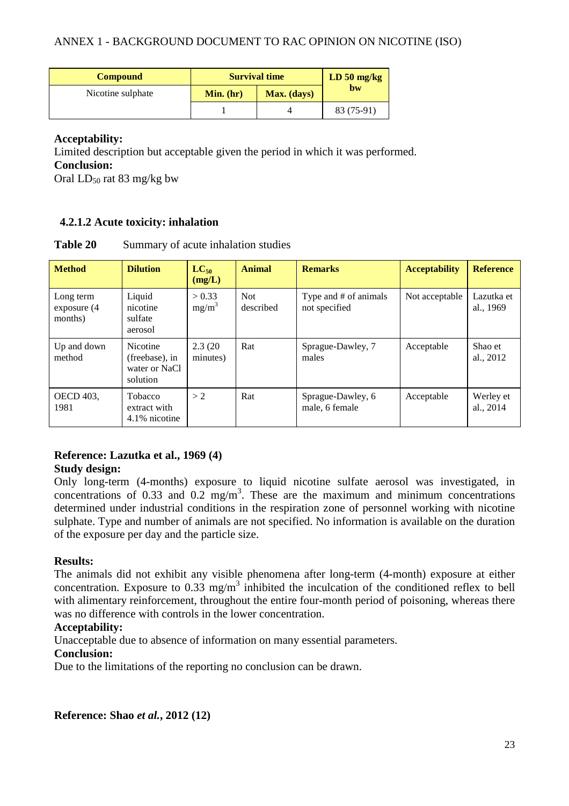| <b>Compound</b>   | <b>Survival time</b> |             | $LD 50$ mg/kg |
|-------------------|----------------------|-------------|---------------|
| Nicotine sulphate | Min. (hr)            | Max. (days) | bw            |
|                   |                      |             | 83 (75-91)    |

#### **Acceptability:**

Limited description but acceptable given the period in which it was performed.

**Conclusion:** 

Oral  $LD_{50}$  rat 83 mg/kg bw

#### **4.2.1.2 Acute toxicity: inhalation**

| Table 20 |  |  | Summary of acute inhalation studies |  |
|----------|--|--|-------------------------------------|--|
|----------|--|--|-------------------------------------|--|

| <b>Method</b>                          | <b>Dilution</b>                                                | $LC_{50}$<br>(mg/L) | <b>Animal</b>           | <b>Remarks</b>                         | <b>Acceptability</b> | <b>Reference</b>        |
|----------------------------------------|----------------------------------------------------------------|---------------------|-------------------------|----------------------------------------|----------------------|-------------------------|
| Long term<br>exposure $(4)$<br>months) | Liquid<br>nicotine<br>sulfate<br>aerosol                       | > 0.33<br>$mg/m^3$  | <b>Not</b><br>described | Type and # of animals<br>not specified | Not acceptable       | Lazutka et<br>al., 1969 |
| Up and down<br>method                  | <b>Nicotine</b><br>(freebase), in<br>water or NaCl<br>solution | 2.3(20)<br>minutes) | Rat                     | Sprague-Dawley, 7<br>males             | Acceptable           | Shao et<br>al., 2012    |
| <b>OECD</b> 403.<br>1981               | <b>Tobacco</b><br>extract with<br>4.1% nicotine                | > 2                 | Rat                     | Sprague-Dawley, 6<br>male, 6 female    | Acceptable           | Werley et<br>al., 2014  |

#### **Reference: Lazutka et al., 1969 (4) Study design:**

Only long-term (4-months) exposure to liquid nicotine sulfate aerosol was investigated, in concentrations of 0.33 and 0.2 mg/m<sup>3</sup>. These are the maximum and minimum concentrations determined under industrial conditions in the respiration zone of personnel working with nicotine sulphate. Type and number of animals are not specified. No information is available on the duration of the exposure per day and the particle size.

#### **Results:**

The animals did not exhibit any visible phenomena after long-term (4-month) exposure at either concentration. Exposure to  $0.33 \text{ mg/m}^3$  inhibited the inculcation of the conditioned reflex to bell with alimentary reinforcement, throughout the entire four-month period of poisoning, whereas there was no difference with controls in the lower concentration.

#### **Acceptability:**

Unacceptable due to absence of information on many essential parameters.

#### **Conclusion:**

Due to the limitations of the reporting no conclusion can be drawn.

**Reference: Shao** *et al.***, 2012 (12)**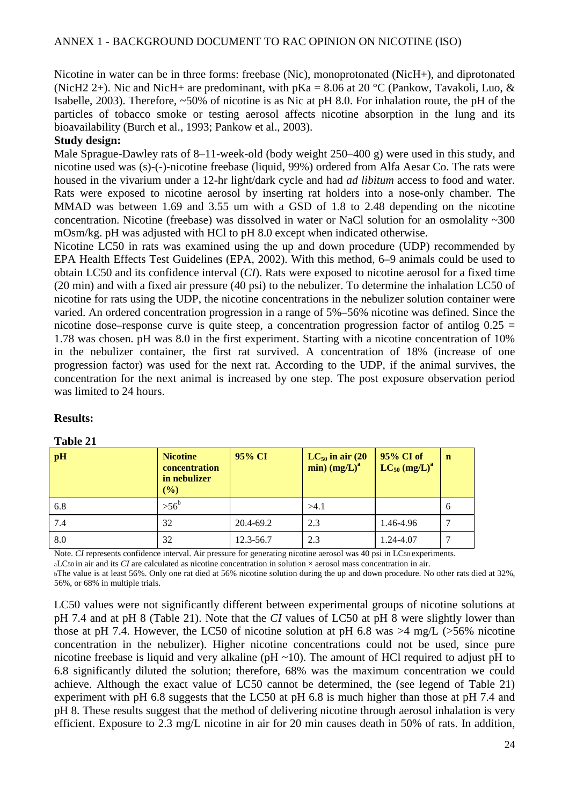Nicotine in water can be in three forms: freebase (Nic), monoprotonated (NicH+), and diprotonated (NicH2 2+). Nic and NicH+ are predominant, with  $pKa = 8.06$  at 20 °C (Pankow, Tavakoli, Luo, & Isabelle, 2003). Therefore, ~50% of nicotine is as Nic at pH 8.0. For inhalation route, the pH of the particles of tobacco smoke or testing aerosol affects nicotine absorption in the lung and its bioavailability (Burch et al., 1993; Pankow et al., 2003).

#### **Study design:**

Male Sprague-Dawley rats of 8–11-week-old (body weight 250–400 g) were used in this study, and nicotine used was (s)-(-)-nicotine freebase (liquid, 99%) ordered from Alfa Aesar Co. The rats were housed in the vivarium under a 12-hr light/dark cycle and had *ad libitum* access to food and water. Rats were exposed to nicotine aerosol by inserting rat holders into a nose-only chamber. The MMAD was between 1.69 and 3.55 um with a GSD of 1.8 to 2.48 depending on the nicotine concentration. Nicotine (freebase) was dissolved in water or NaCl solution for an osmolality ~300 mOsm/kg. pH was adjusted with HCl to pH 8.0 except when indicated otherwise.

Nicotine LC50 in rats was examined using the up and down procedure (UDP) recommended by EPA Health Effects Test Guidelines (EPA, 2002). With this method, 6–9 animals could be used to obtain LC50 and its confidence interval (*CI*). Rats were exposed to nicotine aerosol for a fixed time (20 min) and with a fixed air pressure (40 psi) to the nebulizer. To determine the inhalation LC50 of nicotine for rats using the UDP, the nicotine concentrations in the nebulizer solution container were varied. An ordered concentration progression in a range of 5%–56% nicotine was defined. Since the nicotine dose–response curve is quite steep, a concentration progression factor of antilog  $0.25 =$ 1.78 was chosen. pH was 8.0 in the first experiment. Starting with a nicotine concentration of 10% in the nebulizer container, the first rat survived. A concentration of 18% (increase of one progression factor) was used for the next rat. According to the UDP, if the animal survives, the concentration for the next animal is increased by one step. The post exposure observation period was limited to 24 hours.

#### **Results:**

#### **Table 21**

| pH  | <b>Nicotine</b><br>concentration<br>in nebulizer<br>(%) | 95% CI    | $LC_{50}$ in air (20<br>$min)$ (mg/L) <sup>a</sup> | 95% CI of<br>$LC_{50}$ (mg/L) <sup>a</sup> | $\mathbf n$ |
|-----|---------------------------------------------------------|-----------|----------------------------------------------------|--------------------------------------------|-------------|
| 6.8 | $> 56^b$                                                |           | >4.1                                               |                                            | 6           |
| 7.4 | 32                                                      | 20.4-69.2 | 2.3                                                | 1.46-4.96                                  |             |
| 8.0 | 32                                                      | 12.3-56.7 | 2.3                                                | 1.24-4.07                                  |             |

Note. *CI* represents confidence interval. Air pressure for generating nicotine aerosol was 40 psi in LC50 experiments.

aLC50 in air and its *CI* are calculated as nicotine concentration in solution × aerosol mass concentration in air.

bThe value is at least 56%. Only one rat died at 56% nicotine solution during the up and down procedure. No other rats died at 32%, 56%, or 68% in multiple trials.

LC50 values were not significantly different between experimental groups of nicotine solutions at pH 7.4 and at pH 8 (Table 21). Note that the *CI* values of LC50 at pH 8 were slightly lower than those at pH 7.4. However, the LC50 of nicotine solution at pH 6.8 was  $>4$  mg/L ( $>56\%$  nicotine concentration in the nebulizer). Higher nicotine concentrations could not be used, since pure nicotine freebase is liquid and very alkaline ( $pH \sim 10$ ). The amount of HCl required to adjust  $pH$  to 6.8 significantly diluted the solution; therefore, 68% was the maximum concentration we could achieve. Although the exact value of LC50 cannot be determined, the (see legend of Table 21) experiment with pH 6.8 suggests that the LC50 at pH 6.8 is much higher than those at pH 7.4 and pH 8. These results suggest that the method of delivering nicotine through aerosol inhalation is very efficient. Exposure to 2.3 mg/L nicotine in air for 20 min causes death in 50% of rats. In addition,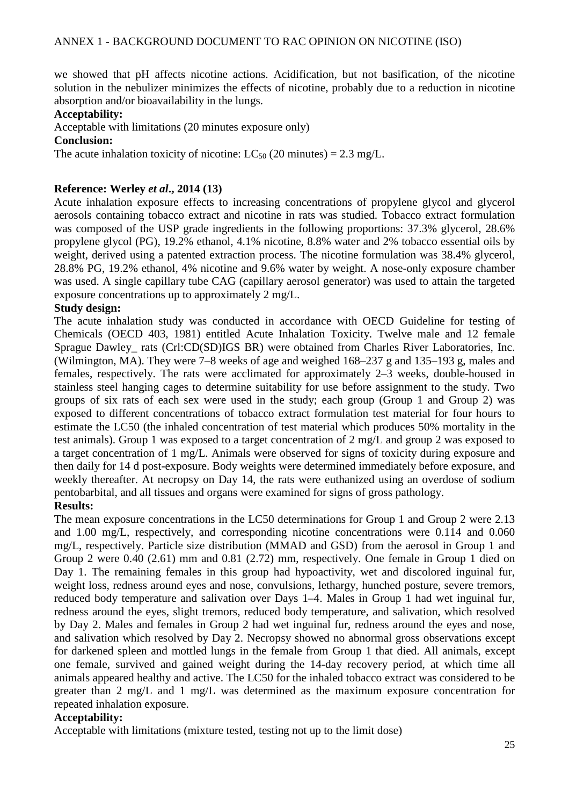we showed that pH affects nicotine actions. Acidification, but not basification, of the nicotine solution in the nebulizer minimizes the effects of nicotine, probably due to a reduction in nicotine absorption and/or bioavailability in the lungs.

#### **Acceptability:**

Acceptable with limitations (20 minutes exposure only)

**Conclusion:** 

The acute inhalation toxicity of nicotine:  $LC_{50}$  (20 minutes) = 2.3 mg/L.

#### **Reference: Werley** *et al***., 2014 (13)**

Acute inhalation exposure effects to increasing concentrations of propylene glycol and glycerol aerosols containing tobacco extract and nicotine in rats was studied. Tobacco extract formulation was composed of the USP grade ingredients in the following proportions: 37.3% glycerol, 28.6% propylene glycol (PG), 19.2% ethanol, 4.1% nicotine, 8.8% water and 2% tobacco essential oils by weight, derived using a patented extraction process. The nicotine formulation was 38.4% glycerol, 28.8% PG, 19.2% ethanol, 4% nicotine and 9.6% water by weight. A nose-only exposure chamber was used. A single capillary tube CAG (capillary aerosol generator) was used to attain the targeted exposure concentrations up to approximately 2 mg/L.

#### **Study design:**

The acute inhalation study was conducted in accordance with OECD Guideline for testing of Chemicals (OECD 403, 1981) entitled Acute Inhalation Toxicity. Twelve male and 12 female Sprague Dawley rats (Crl:CD(SD)IGS BR) were obtained from Charles River Laboratories, Inc. (Wilmington, MA). They were 7–8 weeks of age and weighed 168–237 g and 135–193 g, males and females, respectively. The rats were acclimated for approximately 2–3 weeks, double-housed in stainless steel hanging cages to determine suitability for use before assignment to the study. Two groups of six rats of each sex were used in the study; each group (Group 1 and Group 2) was exposed to different concentrations of tobacco extract formulation test material for four hours to estimate the LC50 (the inhaled concentration of test material which produces 50% mortality in the test animals). Group 1 was exposed to a target concentration of 2 mg/L and group 2 was exposed to a target concentration of 1 mg/L. Animals were observed for signs of toxicity during exposure and then daily for 14 d post-exposure. Body weights were determined immediately before exposure, and weekly thereafter. At necropsy on Day 14, the rats were euthanized using an overdose of sodium pentobarbital, and all tissues and organs were examined for signs of gross pathology.

#### **Results:**

The mean exposure concentrations in the LC50 determinations for Group 1 and Group 2 were 2.13 and 1.00 mg/L, respectively, and corresponding nicotine concentrations were 0.114 and 0.060 mg/L, respectively. Particle size distribution (MMAD and GSD) from the aerosol in Group 1 and Group 2 were 0.40 (2.61) mm and 0.81 (2.72) mm, respectively. One female in Group 1 died on Day 1. The remaining females in this group had hypoactivity, wet and discolored inguinal fur, weight loss, redness around eyes and nose, convulsions, lethargy, hunched posture, severe tremors, reduced body temperature and salivation over Days 1–4. Males in Group 1 had wet inguinal fur, redness around the eyes, slight tremors, reduced body temperature, and salivation, which resolved by Day 2. Males and females in Group 2 had wet inguinal fur, redness around the eyes and nose, and salivation which resolved by Day 2. Necropsy showed no abnormal gross observations except for darkened spleen and mottled lungs in the female from Group 1 that died. All animals, except one female, survived and gained weight during the 14-day recovery period, at which time all animals appeared healthy and active. The LC50 for the inhaled tobacco extract was considered to be greater than 2 mg/L and 1 mg/L was determined as the maximum exposure concentration for repeated inhalation exposure.

#### **Acceptability:**

Acceptable with limitations (mixture tested, testing not up to the limit dose)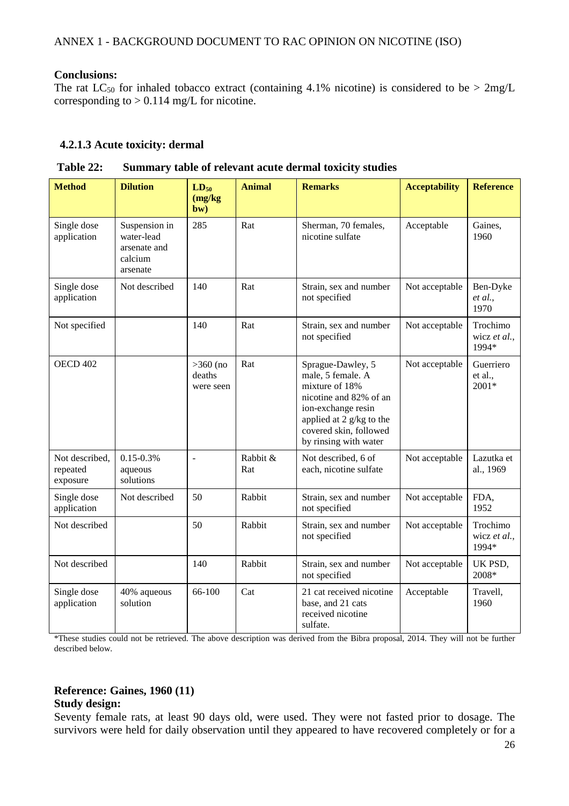#### **Conclusions:**

The rat  $LC_{50}$  for inhaled tobacco extract (containing 4.1% nicotine) is considered to be  $> 2mg/L$ corresponding to  $> 0.114$  mg/L for nicotine.

#### **4.2.1.3 Acute toxicity: dermal**

| <b>Method</b>                          | <b>Dilution</b>                                                    | $LD_{50}$<br>(mg/kg)<br>bw)       | <b>Animal</b>   | <b>Remarks</b>                                                                                                                                                                          | <b>Acceptability</b> | <b>Reference</b>                  |
|----------------------------------------|--------------------------------------------------------------------|-----------------------------------|-----------------|-----------------------------------------------------------------------------------------------------------------------------------------------------------------------------------------|----------------------|-----------------------------------|
| Single dose<br>application             | Suspension in<br>water-lead<br>arsenate and<br>calcium<br>arsenate | 285                               | Rat             | Sherman, 70 females,<br>nicotine sulfate                                                                                                                                                | Acceptable           | Gaines,<br>1960                   |
| Single dose<br>application             | Not described                                                      | 140                               | Rat             | Strain, sex and number<br>not specified                                                                                                                                                 | Not acceptable       | Ben-Dyke<br>et al.,<br>1970       |
| Not specified                          |                                                                    | 140                               | Rat             | Strain, sex and number<br>not specified                                                                                                                                                 | Not acceptable       | Trochimo<br>wicz et al.,<br>1994* |
| <b>OECD 402</b>                        |                                                                    | $>360$ (no<br>deaths<br>were seen | Rat             | Sprague-Dawley, 5<br>male, 5 female. A<br>mixture of 18%<br>nicotine and 82% of an<br>ion-exchange resin<br>applied at 2 g/kg to the<br>covered skin, followed<br>by rinsing with water | Not acceptable       | Guerriero<br>et al.,<br>2001*     |
| Not described,<br>repeated<br>exposure | $0.15 - 0.3\%$<br>aqueous<br>solutions                             | $\overline{a}$                    | Rabbit &<br>Rat | Not described, 6 of<br>each, nicotine sulfate                                                                                                                                           | Not acceptable       | Lazutka et<br>al., 1969           |
| Single dose<br>application             | Not described                                                      | 50                                | Rabbit          | Strain, sex and number<br>not specified                                                                                                                                                 | Not acceptable       | FDA,<br>1952                      |
| Not described                          |                                                                    | 50                                | Rabbit          | Strain, sex and number<br>not specified                                                                                                                                                 | Not acceptable       | Trochimo<br>wicz et al.,<br>1994* |
| Not described                          |                                                                    | 140                               | Rabbit          | Strain, sex and number<br>not specified                                                                                                                                                 | Not acceptable       | UK PSD,<br>2008*                  |
| Single dose<br>application             | 40% aqueous<br>solution                                            | 66-100                            | Cat             | 21 cat received nicotine<br>base, and 21 cats<br>received nicotine<br>sulfate.                                                                                                          | Acceptable           | Travell,<br>1960                  |

**Table 22: Summary table of relevant acute dermal toxicity studies** 

\*These studies could not be retrieved. The above description was derived from the Bibra proposal, 2014. They will not be further described below.

# **Reference: Gaines, 1960 (11)**

#### **Study design:**

Seventy female rats, at least 90 days old, were used. They were not fasted prior to dosage. The survivors were held for daily observation until they appeared to have recovered completely or for a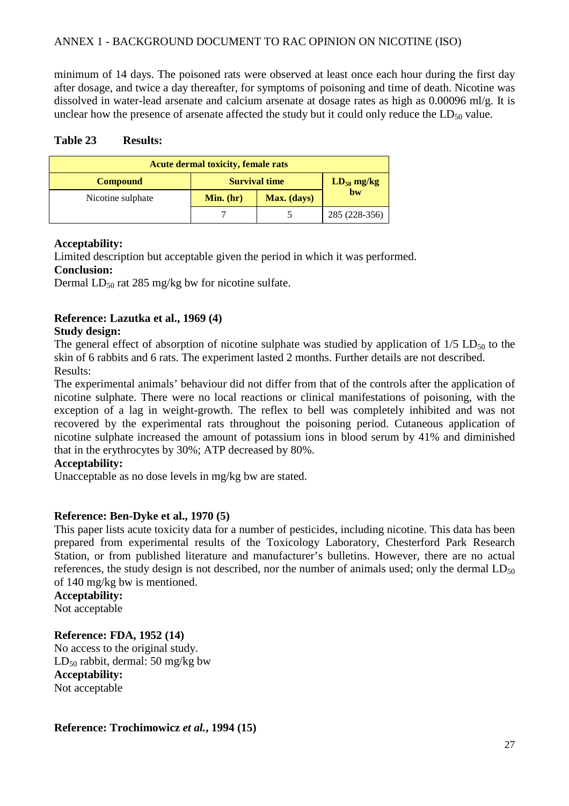minimum of 14 days. The poisoned rats were observed at least once each hour during the first day after dosage, and twice a day thereafter, for symptoms of poisoning and time of death. Nicotine was dissolved in water-lead arsenate and calcium arsenate at dosage rates as high as 0.00096 ml/g. It is unclear how the presence of arsenate affected the study but it could only reduce the  $LD_{50}$  value.

#### **Table 23 Results:**

| <b>Acute dermal toxicity, female rats</b> |                                         |            |               |  |
|-------------------------------------------|-----------------------------------------|------------|---------------|--|
| <b>Compound</b>                           | <b>Survival time</b><br>$LD_{50}$ mg/kg |            |               |  |
| Nicotine sulphate                         | Min. (hr)                               | b <b>w</b> |               |  |
|                                           |                                         |            | 285 (228-356) |  |

#### **Acceptability:**

Limited description but acceptable given the period in which it was performed.

#### **Conclusion:**

Dermal  $LD_{50}$  rat 285 mg/kg bw for nicotine sulfate.

#### **Reference: Lazutka et al., 1969 (4)**

#### **Study design:**

The general effect of absorption of nicotine sulphate was studied by application of  $1/5$  LD<sub>50</sub> to the skin of 6 rabbits and 6 rats. The experiment lasted 2 months. Further details are not described. Results:

The experimental animals' behaviour did not differ from that of the controls after the application of nicotine sulphate. There were no local reactions or clinical manifestations of poisoning, with the exception of a lag in weight-growth. The reflex to bell was completely inhibited and was not recovered by the experimental rats throughout the poisoning period. Cutaneous application of nicotine sulphate increased the amount of potassium ions in blood serum by 41% and diminished that in the erythrocytes by 30%; ATP decreased by 80%.

#### **Acceptability:**

Unacceptable as no dose levels in mg/kg bw are stated.

#### **Reference: Ben-Dyke et al., 1970 (5)**

This paper lists acute toxicity data for a number of pesticides, including nicotine. This data has been prepared from experimental results of the Toxicology Laboratory, Chesterford Park Research Station, or from published literature and manufacturer's bulletins. However, there are no actual references, the study design is not described, nor the number of animals used; only the dermal  $LD_{50}$ of 140 mg/kg bw is mentioned.

#### **Acceptability:**

Not acceptable

## **Reference: FDA, 1952 (14)**

No access to the original study.  $LD_{50}$  rabbit, dermal: 50 mg/kg bw **Acceptability:**  Not acceptable

**Reference: Trochimowicz** *et al.***, 1994 (15)**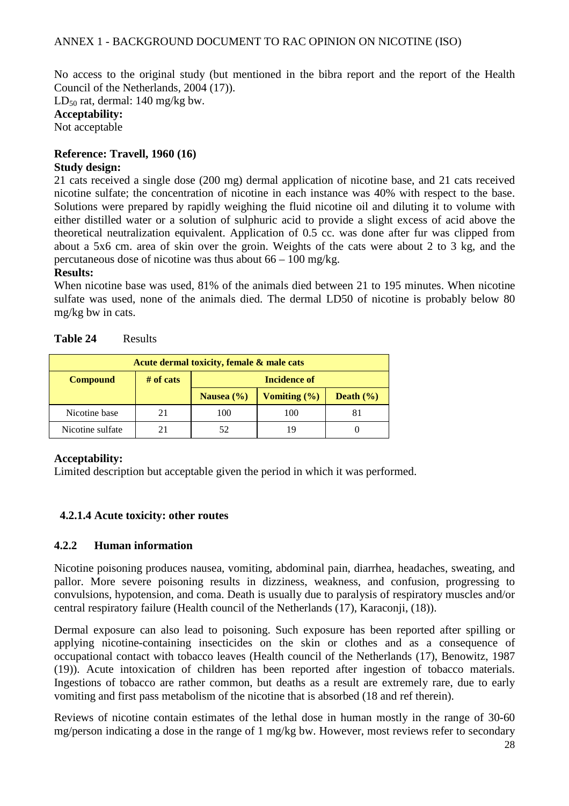No access to the original study (but mentioned in the bibra report and the report of the Health Council of the Netherlands, 2004 (17)).

LD<sub>50</sub> rat, dermal: 140 mg/kg bw.

**Acceptability:**  Not acceptable

# **Reference: Travell, 1960 (16)**

#### **Study design:**

21 cats received a single dose (200 mg) dermal application of nicotine base, and 21 cats received nicotine sulfate; the concentration of nicotine in each instance was 40% with respect to the base. Solutions were prepared by rapidly weighing the fluid nicotine oil and diluting it to volume with either distilled water or a solution of sulphuric acid to provide a slight excess of acid above the theoretical neutralization equivalent. Application of 0.5 cc. was done after fur was clipped from about a 5x6 cm. area of skin over the groin. Weights of the cats were about 2 to 3 kg, and the percutaneous dose of nicotine was thus about 66 – 100 mg/kg.

#### **Results:**

When nicotine base was used, 81% of the animals died between 21 to 195 minutes. When nicotine sulfate was used, none of the animals died. The dermal LD50 of nicotine is probably below 80 mg/kg bw in cats.

| Acute dermal toxicity, female & male cats |             |                                                     |     |  |  |  |
|-------------------------------------------|-------------|-----------------------------------------------------|-----|--|--|--|
| <b>Compound</b>                           | $#$ of cats | Incidence of                                        |     |  |  |  |
|                                           |             | Vomiting $(\% )$<br>Death $(\% )$<br>Nausea $(\% )$ |     |  |  |  |
| Nicotine base                             |             | 100                                                 | 100 |  |  |  |
| Nicotine sulfate                          |             | 52                                                  |     |  |  |  |

| Table 24 | Results |
|----------|---------|
|----------|---------|

#### **Acceptability:**

Limited description but acceptable given the period in which it was performed.

#### **4.2.1.4 Acute toxicity: other routes**

#### **4.2.2 Human information**

Nicotine poisoning produces nausea, vomiting, abdominal pain, diarrhea, headaches, sweating, and pallor. More severe poisoning results in dizziness, weakness, and confusion, progressing to convulsions, hypotension, and coma. Death is usually due to paralysis of respiratory muscles and/or central respiratory failure (Health council of the Netherlands (17), Karaconji, (18)).

Dermal exposure can also lead to poisoning. Such exposure has been reported after spilling or applying nicotine-containing insecticides on the skin or clothes and as a consequence of occupational contact with tobacco leaves (Health council of the Netherlands (17), Benowitz, 1987 (19)). Acute intoxication of children has been reported after ingestion of tobacco materials. Ingestions of tobacco are rather common, but deaths as a result are extremely rare, due to early vomiting and first pass metabolism of the nicotine that is absorbed (18 and ref therein).

Reviews of nicotine contain estimates of the lethal dose in human mostly in the range of 30-60 mg/person indicating a dose in the range of 1 mg/kg bw. However, most reviews refer to secondary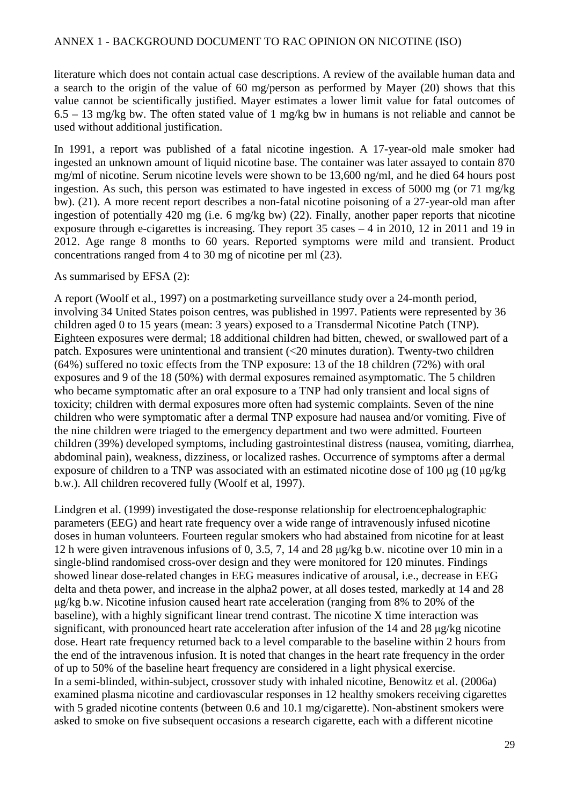literature which does not contain actual case descriptions. A review of the available human data and a search to the origin of the value of 60 mg/person as performed by Mayer (20) shows that this value cannot be scientifically justified. Mayer estimates a lower limit value for fatal outcomes of 6.5 – 13 mg/kg bw. The often stated value of 1 mg/kg bw in humans is not reliable and cannot be used without additional justification.

In 1991, a report was published of a fatal nicotine ingestion. A 17-year-old male smoker had ingested an unknown amount of liquid nicotine base. The container was later assayed to contain 870 mg/ml of nicotine. Serum nicotine levels were shown to be 13,600 ng/ml, and he died 64 hours post ingestion. As such, this person was estimated to have ingested in excess of 5000 mg (or 71 mg/kg bw). (21). A more recent report describes a non-fatal nicotine poisoning of a 27-year-old man after ingestion of potentially 420 mg (i.e. 6 mg/kg bw) (22). Finally, another paper reports that nicotine exposure through e-cigarettes is increasing. They report 35 cases – 4 in 2010, 12 in 2011 and 19 in 2012. Age range 8 months to 60 years. Reported symptoms were mild and transient. Product concentrations ranged from 4 to 30 mg of nicotine per ml (23).

#### As summarised by EFSA (2):

A report (Woolf et al., 1997) on a postmarketing surveillance study over a 24-month period, involving 34 United States poison centres, was published in 1997. Patients were represented by 36 children aged 0 to 15 years (mean: 3 years) exposed to a Transdermal Nicotine Patch (TNP). Eighteen exposures were dermal; 18 additional children had bitten, chewed, or swallowed part of a patch. Exposures were unintentional and transient (<20 minutes duration). Twenty-two children (64%) suffered no toxic effects from the TNP exposure: 13 of the 18 children (72%) with oral exposures and 9 of the 18 (50%) with dermal exposures remained asymptomatic. The 5 children who became symptomatic after an oral exposure to a TNP had only transient and local signs of toxicity; children with dermal exposures more often had systemic complaints. Seven of the nine children who were symptomatic after a dermal TNP exposure had nausea and/or vomiting. Five of the nine children were triaged to the emergency department and two were admitted. Fourteen children (39%) developed symptoms, including gastrointestinal distress (nausea, vomiting, diarrhea, abdominal pain), weakness, dizziness, or localized rashes. Occurrence of symptoms after a dermal exposure of children to a TNP was associated with an estimated nicotine dose of 100 µg (10 µg/kg b.w.). All children recovered fully (Woolf et al, 1997).

Lindgren et al. (1999) investigated the dose-response relationship for electroencephalographic parameters (EEG) and heart rate frequency over a wide range of intravenously infused nicotine doses in human volunteers. Fourteen regular smokers who had abstained from nicotine for at least 12 h were given intravenous infusions of 0, 3.5, 7, 14 and 28 µg/kg b.w. nicotine over 10 min in a single-blind randomised cross-over design and they were monitored for 120 minutes. Findings showed linear dose-related changes in EEG measures indicative of arousal, i.e., decrease in EEG delta and theta power, and increase in the alpha2 power, at all doses tested, markedly at 14 and 28 µg/kg b.w. Nicotine infusion caused heart rate acceleration (ranging from 8% to 20% of the baseline), with a highly significant linear trend contrast. The nicotine X time interaction was significant, with pronounced heart rate acceleration after infusion of the  $14$  and  $28 \mu g/kg$  nicotine dose. Heart rate frequency returned back to a level comparable to the baseline within 2 hours from the end of the intravenous infusion. It is noted that changes in the heart rate frequency in the order of up to 50% of the baseline heart frequency are considered in a light physical exercise. In a semi-blinded, within-subject, crossover study with inhaled nicotine, Benowitz et al. (2006a) examined plasma nicotine and cardiovascular responses in 12 healthy smokers receiving cigarettes with 5 graded nicotine contents (between 0.6 and 10.1 mg/cigarette). Non-abstinent smokers were asked to smoke on five subsequent occasions a research cigarette, each with a different nicotine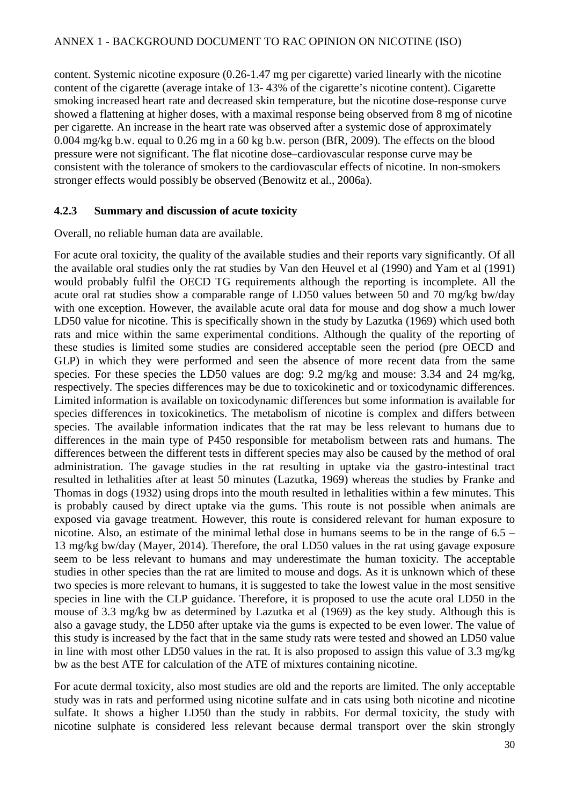content. Systemic nicotine exposure (0.26-1.47 mg per cigarette) varied linearly with the nicotine content of the cigarette (average intake of 13- 43% of the cigarette's nicotine content). Cigarette smoking increased heart rate and decreased skin temperature, but the nicotine dose-response curve showed a flattening at higher doses, with a maximal response being observed from 8 mg of nicotine per cigarette. An increase in the heart rate was observed after a systemic dose of approximately 0.004 mg/kg b.w. equal to 0.26 mg in a 60 kg b.w. person (BfR, 2009). The effects on the blood pressure were not significant. The flat nicotine dose–cardiovascular response curve may be consistent with the tolerance of smokers to the cardiovascular effects of nicotine. In non-smokers stronger effects would possibly be observed (Benowitz et al., 2006a).

#### **4.2.3 Summary and discussion of acute toxicity**

#### Overall, no reliable human data are available.

For acute oral toxicity, the quality of the available studies and their reports vary significantly. Of all the available oral studies only the rat studies by Van den Heuvel et al (1990) and Yam et al (1991) would probably fulfil the OECD TG requirements although the reporting is incomplete. All the acute oral rat studies show a comparable range of LD50 values between 50 and 70 mg/kg bw/day with one exception. However, the available acute oral data for mouse and dog show a much lower LD50 value for nicotine. This is specifically shown in the study by Lazutka (1969) which used both rats and mice within the same experimental conditions. Although the quality of the reporting of these studies is limited some studies are considered acceptable seen the period (pre OECD and GLP) in which they were performed and seen the absence of more recent data from the same species. For these species the LD50 values are dog: 9.2 mg/kg and mouse: 3.34 and 24 mg/kg, respectively. The species differences may be due to toxicokinetic and or toxicodynamic differences. Limited information is available on toxicodynamic differences but some information is available for species differences in toxicokinetics. The metabolism of nicotine is complex and differs between species. The available information indicates that the rat may be less relevant to humans due to differences in the main type of P450 responsible for metabolism between rats and humans. The differences between the different tests in different species may also be caused by the method of oral administration. The gavage studies in the rat resulting in uptake via the gastro-intestinal tract resulted in lethalities after at least 50 minutes (Lazutka, 1969) whereas the studies by Franke and Thomas in dogs (1932) using drops into the mouth resulted in lethalities within a few minutes. This is probably caused by direct uptake via the gums. This route is not possible when animals are exposed via gavage treatment. However, this route is considered relevant for human exposure to nicotine. Also, an estimate of the minimal lethal dose in humans seems to be in the range of  $6.5 -$ 13 mg/kg bw/day (Mayer, 2014). Therefore, the oral LD50 values in the rat using gavage exposure seem to be less relevant to humans and may underestimate the human toxicity. The acceptable studies in other species than the rat are limited to mouse and dogs. As it is unknown which of these two species is more relevant to humans, it is suggested to take the lowest value in the most sensitive species in line with the CLP guidance. Therefore, it is proposed to use the acute oral LD50 in the mouse of 3.3 mg/kg bw as determined by Lazutka et al (1969) as the key study. Although this is also a gavage study, the LD50 after uptake via the gums is expected to be even lower. The value of this study is increased by the fact that in the same study rats were tested and showed an LD50 value in line with most other LD50 values in the rat. It is also proposed to assign this value of 3.3 mg/kg bw as the best ATE for calculation of the ATE of mixtures containing nicotine.

For acute dermal toxicity, also most studies are old and the reports are limited. The only acceptable study was in rats and performed using nicotine sulfate and in cats using both nicotine and nicotine sulfate. It shows a higher LD50 than the study in rabbits. For dermal toxicity, the study with nicotine sulphate is considered less relevant because dermal transport over the skin strongly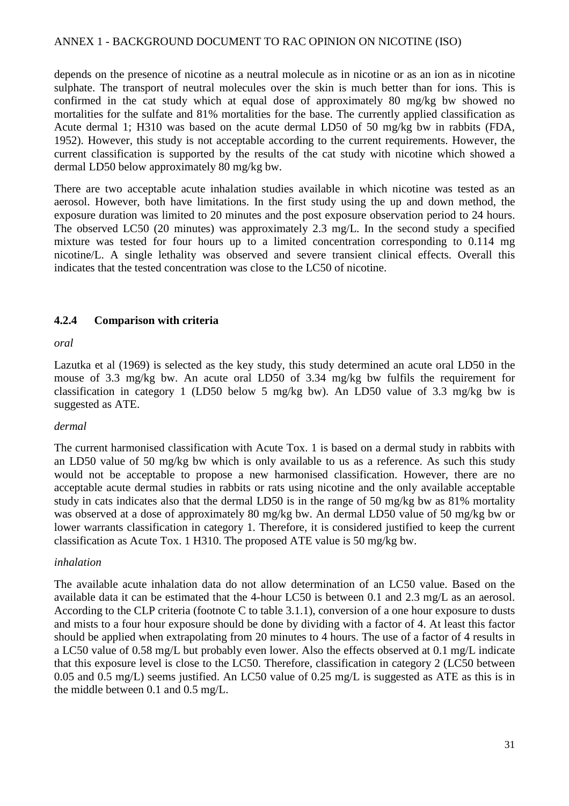depends on the presence of nicotine as a neutral molecule as in nicotine or as an ion as in nicotine sulphate. The transport of neutral molecules over the skin is much better than for ions. This is confirmed in the cat study which at equal dose of approximately 80 mg/kg bw showed no mortalities for the sulfate and 81% mortalities for the base. The currently applied classification as Acute dermal 1; H310 was based on the acute dermal LD50 of 50 mg/kg bw in rabbits (FDA, 1952). However, this study is not acceptable according to the current requirements. However, the current classification is supported by the results of the cat study with nicotine which showed a dermal LD50 below approximately 80 mg/kg bw.

There are two acceptable acute inhalation studies available in which nicotine was tested as an aerosol. However, both have limitations. In the first study using the up and down method, the exposure duration was limited to 20 minutes and the post exposure observation period to 24 hours. The observed LC50 (20 minutes) was approximately 2.3 mg/L. In the second study a specified mixture was tested for four hours up to a limited concentration corresponding to 0.114 mg nicotine/L. A single lethality was observed and severe transient clinical effects. Overall this indicates that the tested concentration was close to the LC50 of nicotine.

#### **4.2.4 Comparison with criteria**

*oral* 

Lazutka et al (1969) is selected as the key study, this study determined an acute oral LD50 in the mouse of 3.3 mg/kg bw. An acute oral LD50 of 3.34 mg/kg bw fulfils the requirement for classification in category 1 (LD50 below 5 mg/kg bw). An LD50 value of 3.3 mg/kg bw is suggested as ATE.

#### *dermal*

The current harmonised classification with Acute Tox. 1 is based on a dermal study in rabbits with an LD50 value of 50 mg/kg bw which is only available to us as a reference. As such this study would not be acceptable to propose a new harmonised classification. However, there are no acceptable acute dermal studies in rabbits or rats using nicotine and the only available acceptable study in cats indicates also that the dermal LD50 is in the range of 50 mg/kg bw as 81% mortality was observed at a dose of approximately 80 mg/kg bw. An dermal LD50 value of 50 mg/kg bw or lower warrants classification in category 1. Therefore, it is considered justified to keep the current classification as Acute Tox. 1 H310. The proposed ATE value is 50 mg/kg bw.

#### *inhalation*

The available acute inhalation data do not allow determination of an LC50 value. Based on the available data it can be estimated that the 4-hour LC50 is between 0.1 and 2.3 mg/L as an aerosol. According to the CLP criteria (footnote C to table 3.1.1), conversion of a one hour exposure to dusts and mists to a four hour exposure should be done by dividing with a factor of 4. At least this factor should be applied when extrapolating from 20 minutes to 4 hours. The use of a factor of 4 results in a LC50 value of 0.58 mg/L but probably even lower. Also the effects observed at 0.1 mg/L indicate that this exposure level is close to the LC50. Therefore, classification in category 2 (LC50 between 0.05 and 0.5 mg/L) seems justified. An LC50 value of 0.25 mg/L is suggested as ATE as this is in the middle between 0.1 and 0.5 mg/L.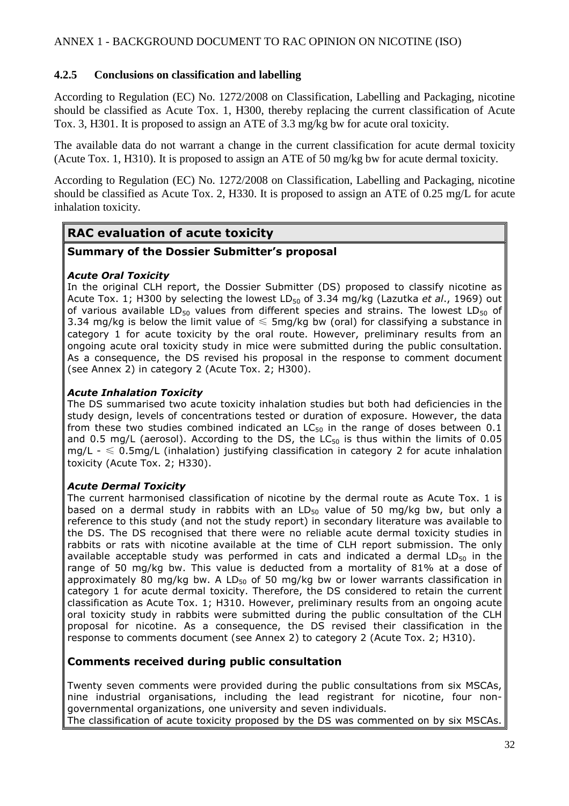#### **4.2.5 Conclusions on classification and labelling**

According to Regulation (EC) No. 1272/2008 on Classification, Labelling and Packaging, nicotine should be classified as Acute Tox. 1, H300, thereby replacing the current classification of Acute Tox. 3, H301. It is proposed to assign an ATE of 3.3 mg/kg bw for acute oral toxicity.

The available data do not warrant a change in the current classification for acute dermal toxicity (Acute Tox. 1, H310). It is proposed to assign an ATE of 50 mg/kg bw for acute dermal toxicity.

According to Regulation (EC) No. 1272/2008 on Classification, Labelling and Packaging, nicotine should be classified as Acute Tox. 2, H330. It is proposed to assign an ATE of 0.25 mg/L for acute inhalation toxicity.

# **RAC evaluation of acute toxicity**

#### **Summary of the Dossier Submitter's proposal**

#### *Acute Oral Toxicity*

In the original CLH report, the Dossier Submitter (DS) proposed to classify nicotine as Acute Tox. 1; H300 by selecting the lowest LD50 of 3.34 mg/kg (Lazutka *et al*., 1969) out of various available LD<sub>50</sub> values from different species and strains. The lowest LD<sub>50</sub> of 3.34 mg/kg is below the limit value of  $\leq$  5mg/kg bw (oral) for classifying a substance in category 1 for acute toxicity by the oral route. However, preliminary results from an ongoing acute oral toxicity study in mice were submitted during the public consultation. As a consequence, the DS revised his proposal in the response to comment document (see Annex 2) in category 2 (Acute Tox. 2; H300).

#### *Acute Inhalation Toxicity*

The DS summarised two acute toxicity inhalation studies but both had deficiencies in the study design, levels of concentrations tested or duration of exposure. However, the data from these two studies combined indicated an  $LC_{50}$  in the range of doses between 0.1 and 0.5 mg/L (aerosol). According to the DS, the  $LC_{50}$  is thus within the limits of 0.05 mg/L -  $\leq$  0.5mg/L (inhalation) justifying classification in category 2 for acute inhalation toxicity (Acute Tox. 2; H330).

#### *Acute Dermal Toxicity*

The current harmonised classification of nicotine by the dermal route as Acute Tox. 1 is based on a dermal study in rabbits with an  $LD_{50}$  value of 50 mg/kg bw, but only a reference to this study (and not the study report) in secondary literature was available to the DS. The DS recognised that there were no reliable acute dermal toxicity studies in rabbits or rats with nicotine available at the time of CLH report submission. The only available acceptable study was performed in cats and indicated a dermal  $LD_{50}$  in the range of 50 mg/kg bw. This value is deducted from a mortality of 81% at a dose of approximately 80 mg/kg bw. A LD $_{50}$  of 50 mg/kg bw or lower warrants classification in category 1 for acute dermal toxicity. Therefore, the DS considered to retain the current classification as Acute Tox. 1; H310. However, preliminary results from an ongoing acute oral toxicity study in rabbits were submitted during the public consultation of the CLH proposal for nicotine. As a consequence, the DS revised their classification in the response to comments document (see Annex 2) to category 2 (Acute Tox. 2; H310).

#### **Comments received during public consultation**

Twenty seven comments were provided during the public consultations from six MSCAs, nine industrial organisations, including the lead registrant for nicotine, four nongovernmental organizations, one university and seven individuals.

The classification of acute toxicity proposed by the DS was commented on by six MSCAs.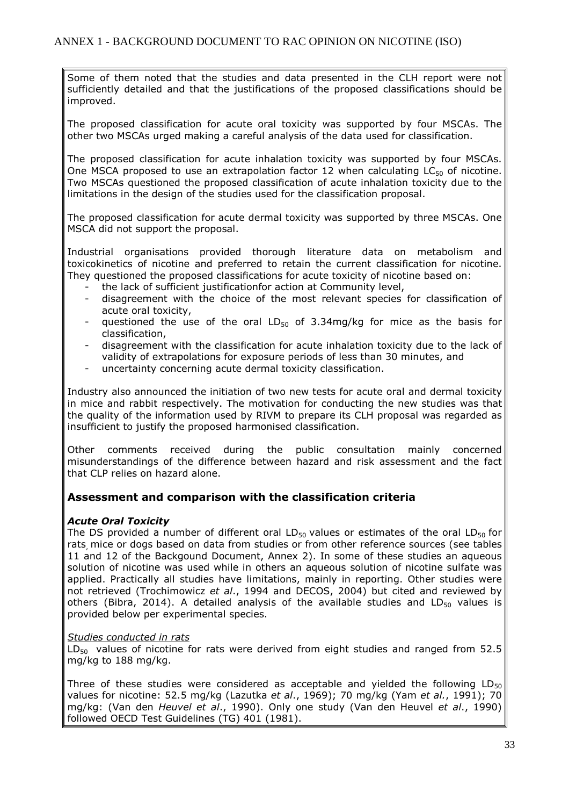Some of them noted that the studies and data presented in the CLH report were not sufficiently detailed and that the justifications of the proposed classifications should be improved.

The proposed classification for acute oral toxicity was supported by four MSCAs. The other two MSCAs urged making a careful analysis of the data used for classification.

The proposed classification for acute inhalation toxicity was supported by four MSCAs. One MSCA proposed to use an extrapolation factor 12 when calculating  $LC_{50}$  of nicotine. Two MSCAs questioned the proposed classification of acute inhalation toxicity due to the limitations in the design of the studies used for the classification proposal.

The proposed classification for acute dermal toxicity was supported by three MSCAs. One MSCA did not support the proposal.

Industrial organisations provided thorough literature data on metabolism and toxicokinetics of nicotine and preferred to retain the current classification for nicotine. They questioned the proposed classifications for acute toxicity of nicotine based on:

- the lack of sufficient justificationfor action at Community level,
- disagreement with the choice of the most relevant species for classification of acute oral toxicity,
- questioned the use of the oral  $LD_{50}$  of 3.34mg/kg for mice as the basis for classification,
- disagreement with the classification for acute inhalation toxicity due to the lack of validity of extrapolations for exposure periods of less than 30 minutes, and
- uncertainty concerning acute dermal toxicity classification.

Industry also announced the initiation of two new tests for acute oral and dermal toxicity in mice and rabbit respectively. The motivation for conducting the new studies was that the quality of the information used by RIVM to prepare its CLH proposal was regarded as insufficient to justify the proposed harmonised classification.

Other comments received during the public consultation mainly concerned misunderstandings of the difference between hazard and risk assessment and the fact that CLP relies on hazard alone.

#### **Assessment and comparison with the classification criteria**

#### *Acute Oral Toxicity*

The DS provided a number of different oral  $LD_{50}$  values or estimates of the oral  $LD_{50}$  for rats, mice or dogs based on data from studies or from other reference sources (see tables 11 and 12 of the Backgound Document, Annex 2). In some of these studies an aqueous solution of nicotine was used while in others an aqueous solution of nicotine sulfate was applied. Practically all studies have limitations, mainly in reporting. Other studies were not retrieved (Trochimowicz *et al*., 1994 and DECOS, 2004) but cited and reviewed by others (Bibra, 2014). A detailed analysis of the available studies and  $LD_{50}$  values is provided below per experimental species.

#### *Studies conducted in rats*

 $LD_{50}$  values of nicotine for rats were derived from eight studies and ranged from 52.5 mg/kg to 188 mg/kg.

Three of these studies were considered as acceptable and yielded the following  $LD_{50}$ values for nicotine: 52.5 mg/kg (Lazutka *et al*., 1969); 70 mg/kg (Yam *et al.*, 1991); 70 mg/kg: (Van den *Heuvel et al*., 1990). Only one study (Van den Heuvel *et al*., 1990) followed OECD Test Guidelines (TG) 401 (1981).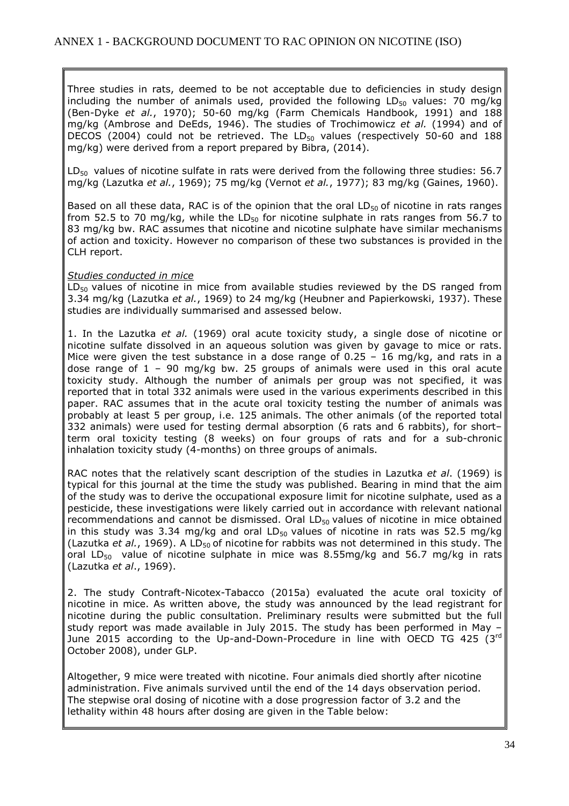Three studies in rats, deemed to be not acceptable due to deficiencies in study design including the number of animals used, provided the following  $LD_{50}$  values: 70 mg/kg (Ben-Dyke *et al.*, 1970); 50-60 mg/kg (Farm Chemicals Handbook, 1991) and 188 mg/kg (Ambrose and DeEds, 1946). The studies of Trochimowicz *et al.* (1994) and of DECOS (2004) could not be retrieved. The  $LD_{50}$  values (respectively 50-60 and 188 mg/kg) were derived from a report prepared by Bibra, (2014).

 $LD_{50}$  values of nicotine sulfate in rats were derived from the following three studies: 56.7 mg/kg (Lazutka *et al.*, 1969); 75 mg/kg (Vernot *et al.*, 1977); 83 mg/kg (Gaines, 1960).

Based on all these data, RAC is of the opinion that the oral  $LD_{50}$  of nicotine in rats ranges from 52.5 to 70 mg/kg, while the LD $_{50}$  for nicotine sulphate in rats ranges from 56.7 to 83 mg/kg bw. RAC assumes that nicotine and nicotine sulphate have similar mechanisms of action and toxicity. However no comparison of these two substances is provided in the CLH report.

#### *Studies conducted in mice*

 $LD_{50}$  values of nicotine in mice from available studies reviewed by the DS ranged from 3.34 mg/kg (Lazutka *et al.*, 1969) to 24 mg/kg (Heubner and Papierkowski, 1937). These studies are individually summarised and assessed below.

1. In the Lazutka *et al.* (1969) oral acute toxicity study, a single dose of nicotine or nicotine sulfate dissolved in an aqueous solution was given by gavage to mice or rats. Mice were given the test substance in a dose range of  $0.25 - 16$  mg/kg, and rats in a dose range of  $1 - 90$  mg/kg bw. 25 groups of animals were used in this oral acute toxicity study. Although the number of animals per group was not specified, it was reported that in total 332 animals were used in the various experiments described in this paper. RAC assumes that in the acute oral toxicity testing the number of animals was probably at least 5 per group, i.e. 125 animals. The other animals (of the reported total 332 animals) were used for testing dermal absorption (6 rats and 6 rabbits), for short– term oral toxicity testing (8 weeks) on four groups of rats and for a sub-chronic inhalation toxicity study (4-months) on three groups of animals.

RAC notes that the relatively scant description of the studies in Lazutka *et al*. (1969) is typical for this journal at the time the study was published. Bearing in mind that the aim of the study was to derive the occupational exposure limit for nicotine sulphate, used as a pesticide, these investigations were likely carried out in accordance with relevant national recommendations and cannot be dismissed. Oral  $LD_{50}$  values of nicotine in mice obtained in this study was 3.34 mg/kg and oral  $LD_{50}$  values of nicotine in rats was 52.5 mg/kg (Lazutka *et al.*, 1969). A LD<sub>50</sub> of nicotine for rabbits was not determined in this study. The oral LD<sub>50</sub> value of nicotine sulphate in mice was 8.55mg/kg and 56.7 mg/kg in rats (Lazutka *et al*., 1969).

2. The study Contraft-Nicotex-Tabacco (2015a) evaluated the acute oral toxicity of nicotine in mice. As written above, the study was announced by the lead registrant for nicotine during the public consultation. Preliminary results were submitted but the full study report was made available in July 2015. The study has been performed in May – June 2015 according to the Up-and-Down-Procedure in line with OECD TG 425 (3rd October 2008), under GLP.

Altogether, 9 mice were treated with nicotine. Four animals died shortly after nicotine administration. Five animals survived until the end of the 14 days observation period. The stepwise oral dosing of nicotine with a dose progression factor of 3.2 and the lethality within 48 hours after dosing are given in the Table below: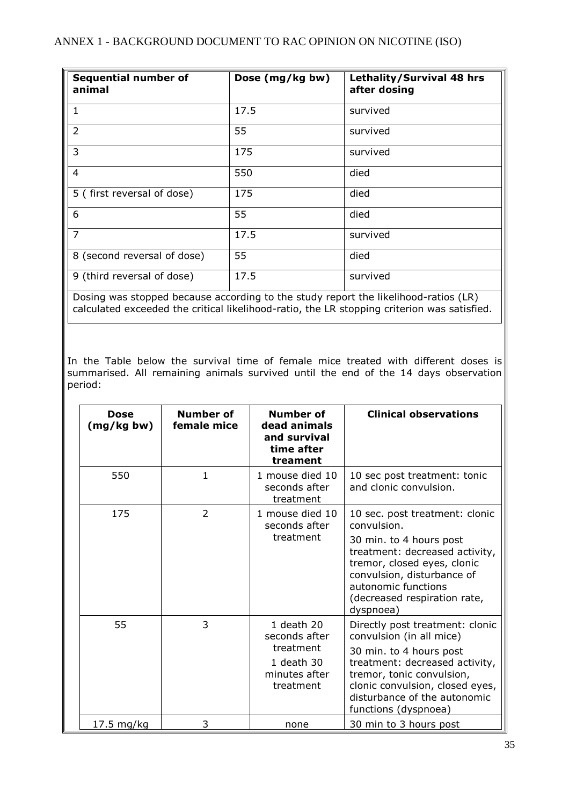| <b>Sequential number of</b><br>animal                                               | Dose (mg/kg bw) | Lethality/Survival 48 hrs<br>after dosing |  |  |
|-------------------------------------------------------------------------------------|-----------------|-------------------------------------------|--|--|
| $\mathbf{1}$                                                                        | 17.5            | survived                                  |  |  |
| $\overline{2}$                                                                      | 55              | survived                                  |  |  |
| 3                                                                                   | 175             | survived                                  |  |  |
| 4                                                                                   | 550             | died                                      |  |  |
| 5 (first reversal of dose)                                                          | 175             | died                                      |  |  |
| 6                                                                                   | 55              | died                                      |  |  |
| $\overline{7}$                                                                      | 17.5            | survived                                  |  |  |
| 8 (second reversal of dose)                                                         | 55              | died                                      |  |  |
| 9 (third reversal of dose)                                                          | 17.5            | survived                                  |  |  |
| Dosing was stopped because according to the study report the likelihood-ratios (LR) |                 |                                           |  |  |

calculated exceeded the critical likelihood-ratio, the LR stopping criterion was satisfied.

In the Table below the survival time of female mice treated with different doses is summarised. All remaining animals survived until the end of the 14 days observation period:

| <b>Dose</b><br>(mg/kg bw) | Number of<br>female mice | Number of<br>dead animals<br>and survival<br>time after<br>treament                  | <b>Clinical observations</b>                                                                                                                                                                                                                     |
|---------------------------|--------------------------|--------------------------------------------------------------------------------------|--------------------------------------------------------------------------------------------------------------------------------------------------------------------------------------------------------------------------------------------------|
| 550                       | 1                        | 1 mouse died 10<br>seconds after<br>treatment                                        | 10 sec post treatment: tonic<br>and clonic convulsion.                                                                                                                                                                                           |
| 175                       | $\overline{2}$           | 1 mouse died 10<br>seconds after<br>treatment                                        | 10 sec. post treatment: clonic<br>convulsion.<br>30 min. to 4 hours post<br>treatment: decreased activity,<br>tremor, closed eyes, clonic<br>convulsion, disturbance of<br>autonomic functions<br>(decreased respiration rate,<br>dyspnoea)      |
| 55                        | 3                        | 1 death 20<br>seconds after<br>treatment<br>1 death 30<br>minutes after<br>treatment | Directly post treatment: clonic<br>convulsion (in all mice)<br>30 min. to 4 hours post<br>treatment: decreased activity,<br>tremor, tonic convulsion,<br>clonic convulsion, closed eyes,<br>disturbance of the autonomic<br>functions (dyspnoea) |
| 17.5 mg/kg                | 3                        | none                                                                                 | 30 min to 3 hours post                                                                                                                                                                                                                           |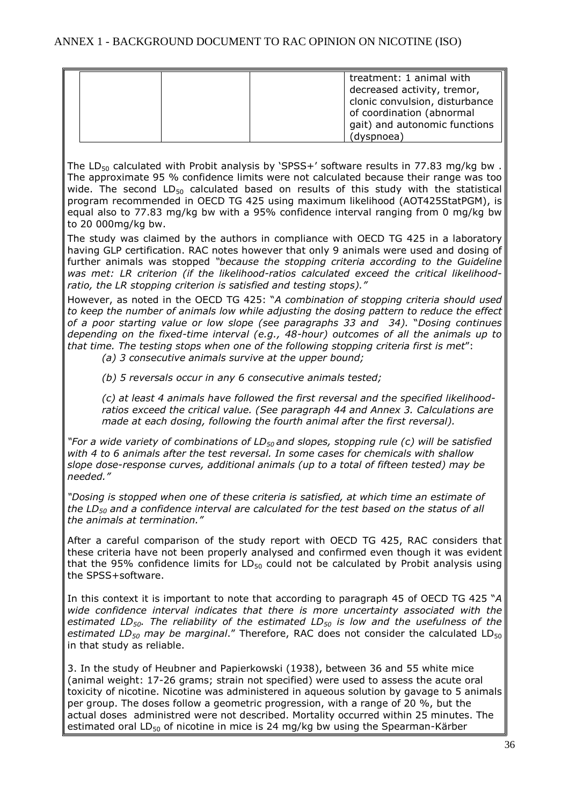|  | treatment: 1 animal with<br>decreased activity, tremor,<br>clonic convulsion, disturbance<br>of coordination (abnormal<br>gait) and autonomic functions<br>(dyspnoea) |
|--|-----------------------------------------------------------------------------------------------------------------------------------------------------------------------|
|--|-----------------------------------------------------------------------------------------------------------------------------------------------------------------------|

The LD<sub>50</sub> calculated with Probit analysis by 'SPSS+' software results in 77.83 mg/kg bw. The approximate 95 % confidence limits were not calculated because their range was too wide. The second  $LD_{50}$  calculated based on results of this study with the statistical program recommended in OECD TG 425 using maximum likelihood (AOT425StatPGM), is equal also to 77.83 mg/kg bw with a 95% confidence interval ranging from 0 mg/kg bw to 20 000mg/kg bw.

The study was claimed by the authors in compliance with OECD TG 425 in a laboratory having GLP certification. RAC notes however that only 9 animals were used and dosing of further animals was stopped *"because the stopping criteria according to the Guideline was met: LR criterion (if the likelihood-ratios calculated exceed the critical likelihoodratio, the LR stopping criterion is satisfied and testing stops)."* 

However, as noted in the OECD TG 425: "*A combination of stopping criteria should used to keep the number of animals low while adjusting the dosing pattern to reduce the effect of a poor starting value or low slope (see paragraphs 33 and 34).* "*Dosing continues depending on the fixed-time interval (e.g., 48-hour) outcomes of all the animals up to that time. The testing stops when one of the following stopping criteria first is met*":

*(a) 3 consecutive animals survive at the upper bound;* 

*(b) 5 reversals occur in any 6 consecutive animals tested;* 

*(c) at least 4 animals have followed the first reversal and the specified likelihoodratios exceed the critical value. (See paragraph 44 and Annex 3. Calculations are made at each dosing, following the fourth animal after the first reversal).* 

*"For a wide variety of combinations of LD50 and slopes, stopping rule (c) will be satisfied with 4 to 6 animals after the test reversal. In some cases for chemicals with shallow slope dose-response curves, additional animals (up to a total of fifteen tested) may be needed."* 

*"Dosing is stopped when one of these criteria is satisfied, at which time an estimate of the LD50 and a confidence interval are calculated for the test based on the status of all the animals at termination."* 

After a careful comparison of the study report with OECD TG 425, RAC considers that these criteria have not been properly analysed and confirmed even though it was evident that the 95% confidence limits for  $LD_{50}$  could not be calculated by Probit analysis using the SPSS+software.

In this context it is important to note that according to paragraph 45 of OECD TG 425 "*A wide confidence interval indicates that there is more uncertainty associated with the estimated LD50. The reliability of the estimated LD<sup>50</sup> is low and the usefulness of the estimated LD50 may be marginal*." Therefore, RAC does not consider the calculated LD<sup>50</sup> in that study as reliable.

3. In the study of Heubner and Papierkowski (1938), between 36 and 55 white mice (animal weight: 17-26 grams; strain not specified) were used to assess the acute oral toxicity of nicotine. Nicotine was administered in aqueous solution by gavage to 5 animals per group. The doses follow a geometric progression, with a range of 20 %, but the actual doses administred were not described. Mortality occurred within 25 minutes. The estimated oral LD<sub>50</sub> of nicotine in mice is 24 mg/kg bw using the Spearman-Kärber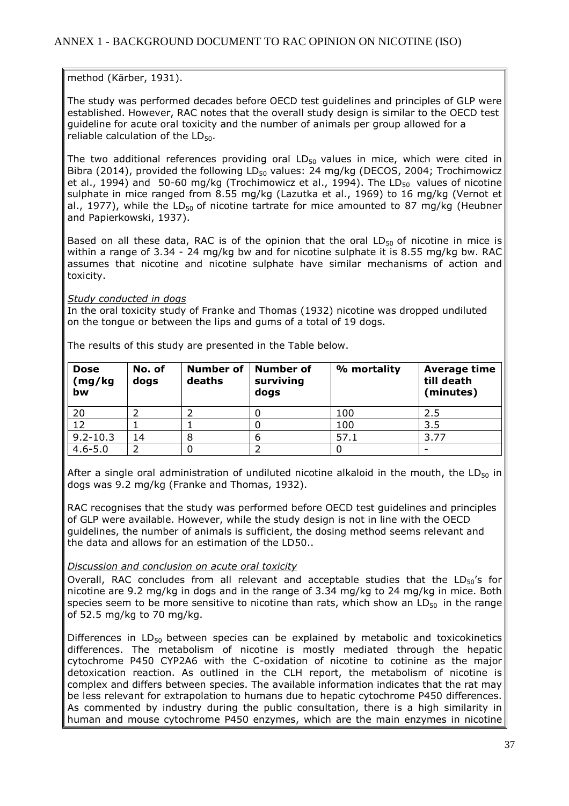method (Kärber, 1931).

The study was performed decades before OECD test guidelines and principles of GLP were established. However, RAC notes that the overall study design is similar to the OECD test guideline for acute oral toxicity and the number of animals per group allowed for a reliable calculation of the  $LD_{50}$ .

The two additional references providing oral  $LD_{50}$  values in mice, which were cited in Bibra (2014), provided the following  $LD_{50}$  values: 24 mg/kg (DECOS, 2004; Trochimowicz et al., 1994) and 50-60 mg/kg (Trochimowicz et al., 1994). The  $LD_{50}$  values of nicotine sulphate in mice ranged from 8.55 mg/kg (Lazutka et al., 1969) to 16 mg/kg (Vernot et al., 1977), while the LD<sub>50</sub> of nicotine tartrate for mice amounted to 87 mg/kg (Heubner and Papierkowski, 1937).

Based on all these data, RAC is of the opinion that the oral  $LD_{50}$  of nicotine in mice is within a range of 3.34 - 24 mg/kg bw and for nicotine sulphate it is 8.55 mg/kg bw. RAC assumes that nicotine and nicotine sulphate have similar mechanisms of action and toxicity.

#### *Study conducted in dogs*

In the oral toxicity study of Franke and Thomas (1932) nicotine was dropped undiluted on the tongue or between the lips and gums of a total of 19 dogs.

| <b>Dose</b><br>(mg/kg)<br>bw | No. of<br>dogs | <b>Number of</b><br>deaths | <b>Number of</b><br>surviving<br>dogs | % mortality | Average time<br>till death<br>(minutes) |
|------------------------------|----------------|----------------------------|---------------------------------------|-------------|-----------------------------------------|
| 20                           |                |                            |                                       | 100         | 2.5                                     |
| 12                           |                |                            |                                       | 100         | 3.5                                     |
| $9.2 - 10.3$                 | 14             |                            |                                       | 57.1        | 3.77                                    |
| $4.6 - 5.0$                  |                |                            |                                       |             |                                         |

The results of this study are presented in the Table below.

After a single oral administration of undiluted nicotine alkaloid in the mouth, the LD $_{50}$  in dogs was 9.2 mg/kg (Franke and Thomas, 1932).

RAC recognises that the study was performed before OECD test guidelines and principles of GLP were available. However, while the study design is not in line with the OECD guidelines, the number of animals is sufficient, the dosing method seems relevant and the data and allows for an estimation of the LD50..

#### *Discussion and conclusion on acute oral toxicity*

Overall, RAC concludes from all relevant and acceptable studies that the  $LD_{50}$ 's for nicotine are 9.2 mg/kg in dogs and in the range of 3.34 mg/kg to 24 mg/kg in mice. Both species seem to be more sensitive to nicotine than rats, which show an  $LD_{50}$  in the range of 52.5 mg/kg to 70 mg/kg.

Differences in  $LD_{50}$  between species can be explained by metabolic and toxicokinetics differences. The metabolism of nicotine is mostly mediated through the hepatic cytochrome P450 CYP2A6 with the C-oxidation of nicotine to cotinine as the major detoxication reaction. As outlined in the CLH report, the metabolism of nicotine is complex and differs between species. The available information indicates that the rat may be less relevant for extrapolation to humans due to hepatic cytochrome P450 differences. As commented by industry during the public consultation, there is a high similarity in human and mouse cytochrome P450 enzymes, which are the main enzymes in nicotine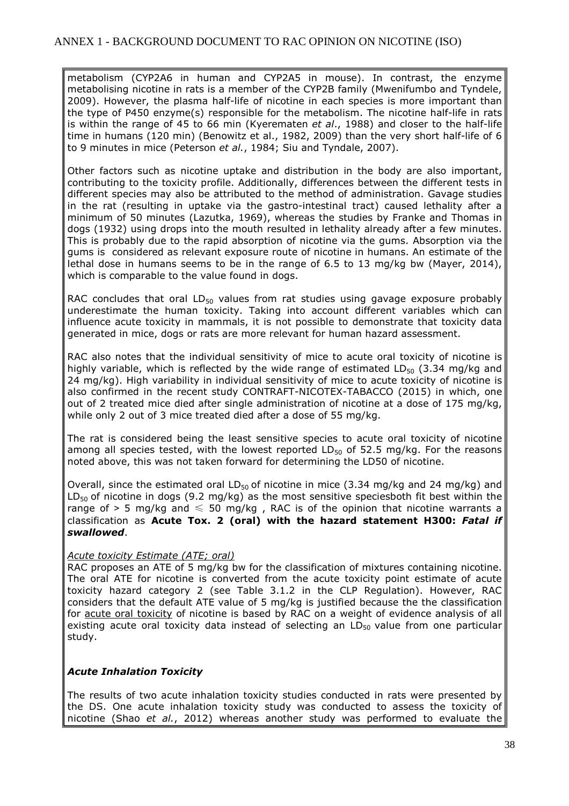metabolism (CYP2A6 in human and CYP2A5 in mouse). In contrast, the enzyme metabolising nicotine in rats is a member of the CYP2B family (Mwenifumbo and Tyndele, 2009). However, the plasma half-life of nicotine in each species is more important than the type of P450 enzyme(s) responsible for the metabolism. The nicotine half-life in rats is within the range of 45 to 66 min (Kyerematen *et al*., 1988) and closer to the half-life time in humans (120 min) (Benowitz et al., 1982, 2009) than the very short half-life of 6 to 9 minutes in mice (Peterson *et al.*, 1984; Siu and Tyndale, 2007).

Other factors such as nicotine uptake and distribution in the body are also important, contributing to the toxicity profile. Additionally, differences between the different tests in different species may also be attributed to the method of administration. Gavage studies in the rat (resulting in uptake via the gastro-intestinal tract) caused lethality after a minimum of 50 minutes (Lazutka, 1969), whereas the studies by Franke and Thomas in dogs (1932) using drops into the mouth resulted in lethality already after a few minutes. This is probably due to the rapid absorption of nicotine via the gums. Absorption via the gums is considered as relevant exposure route of nicotine in humans. An estimate of the lethal dose in humans seems to be in the range of 6.5 to 13 mg/kg bw (Mayer, 2014), which is comparable to the value found in dogs.

RAC concludes that oral  $LD_{50}$  values from rat studies using gavage exposure probably underestimate the human toxicity. Taking into account different variables which can influence acute toxicity in mammals, it is not possible to demonstrate that toxicity data generated in mice, dogs or rats are more relevant for human hazard assessment.

RAC also notes that the individual sensitivity of mice to acute oral toxicity of nicotine is highly variable, which is reflected by the wide range of estimated  $LD_{50}$  (3.34 mg/kg and 24 mg/kg). High variability in individual sensitivity of mice to acute toxicity of nicotine is also confirmed in the recent study CONTRAFT-NICOTEX-TABACCO (2015) in which, one out of 2 treated mice died after single administration of nicotine at a dose of 175 mg/kg, while only 2 out of 3 mice treated died after a dose of 55 mg/kg.

The rat is considered being the least sensitive species to acute oral toxicity of nicotine among all species tested, with the lowest reported  $LD_{50}$  of 52.5 mg/kg. For the reasons noted above, this was not taken forward for determining the LD50 of nicotine.

Overall, since the estimated oral  $LD_{50}$  of nicotine in mice (3.34 mg/kg and 24 mg/kg) and  $LD_{50}$  of nicotine in dogs (9.2 mg/kg) as the most sensitive speciesboth fit best within the range of > 5 mg/kg and  $\leq$  50 mg/kg, RAC is of the opinion that nicotine warrants a classification as **Acute Tox. 2 (oral) with the hazard statement H300:** *Fatal if swallowed*.

#### *Acute toxicity Estimate (ATE; oral)*

RAC proposes an ATE of 5 mg/kg bw for the classification of mixtures containing nicotine. The oral ATE for nicotine is converted from the acute toxicity point estimate of acute toxicity hazard category 2 (see Table 3.1.2 in the CLP Regulation). However, RAC considers that the default ATE value of 5 mg/kg is justified because the the classification for acute oral toxicity of nicotine is based by RAC on a weight of evidence analysis of all existing acute oral toxicity data instead of selecting an  $LD_{50}$  value from one particular study.

#### *Acute Inhalation Toxicity*

The results of two acute inhalation toxicity studies conducted in rats were presented by the DS. One acute inhalation toxicity study was conducted to assess the toxicity of nicotine (Shao *et al.*, 2012) whereas another study was performed to evaluate the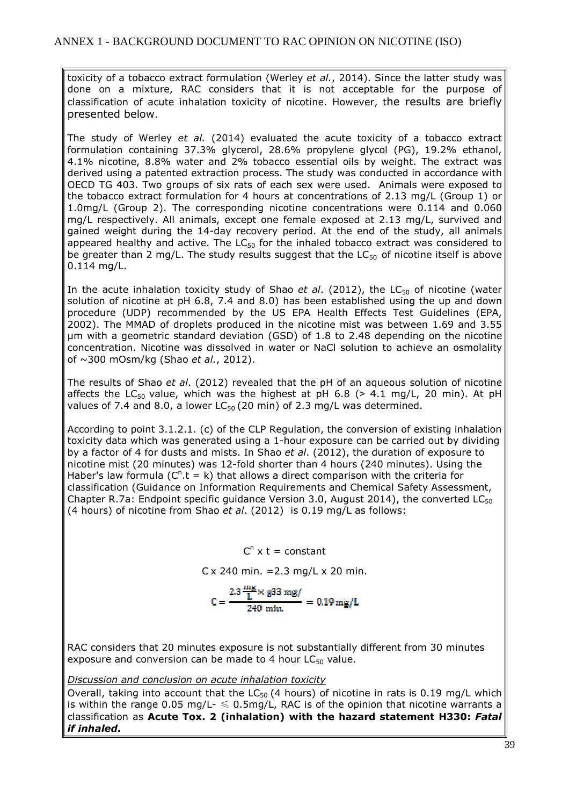toxicity of a tobacco extract formulation (Werley *et al.*, 2014). Since the latter study was done on a mixture, RAC considers that it is not acceptable for the purpose of classification of acute inhalation toxicity of nicotine. However, the results are briefly presented below.

The study of Werley *et al.* (2014) evaluated the acute toxicity of a tobacco extract formulation containing 37.3% glycerol, 28.6% propylene glycol (PG), 19.2% ethanol, 4.1% nicotine, 8.8% water and 2% tobacco essential oils by weight. The extract was derived using a patented extraction process. The study was conducted in accordance with OECD TG 403. Two groups of six rats of each sex were used. Animals were exposed to the tobacco extract formulation for 4 hours at concentrations of 2.13 mg/L (Group 1) or 1.0mg/L (Group 2). The corresponding nicotine concentrations were 0.114 and 0.060 mg/L respectively. All animals, except one female exposed at 2.13 mg/L, survived and gained weight during the 14-day recovery period. At the end of the study, all animals appeared healthy and active. The  $LC_{50}$  for the inhaled tobacco extract was considered to be greater than 2 mg/L. The study results suggest that the  $LC_{50}$  of nicotine itself is above 0.114 mg/L.

In the acute inhalation toxicity study of Shao *et al.* (2012), the LC<sub>50</sub> of nicotine (water solution of nicotine at pH 6.8, 7.4 and 8.0) has been established using the up and down procedure (UDP) recommended by the US EPA Health Effects Test Guidelines (EPA, 2002). The MMAD of droplets produced in the nicotine mist was between 1.69 and 3.55 µm with a geometric standard deviation (GSD) of 1.8 to 2.48 depending on the nicotine concentration. Nicotine was dissolved in water or NaCl solution to achieve an osmolality of ~300 mOsm/kg (Shao *et al.*, 2012).

The results of Shao *et al*. (2012) revealed that the pH of an aqueous solution of nicotine affects the LC<sub>50</sub> value, which was the highest at pH 6.8 ( $>$  4.1 mg/L, 20 min). At pH values of 7.4 and 8.0, a lower  $LC_{50}$  (20 min) of 2.3 mg/L was determined.

According to point 3.1.2.1. (c) of the CLP Regulation, the conversion of existing inhalation toxicity data which was generated using a 1-hour exposure can be carried out by dividing by a factor of 4 for dusts and mists. In Shao *et al*. (2012), the duration of exposure to nicotine mist (20 minutes) was 12-fold shorter than 4 hours (240 minutes). Using the Haber's law formula  $(C^n.t = k)$  that allows a direct comparison with the criteria for classification (Guidance on Information Requirements and Chemical Safety Assessment, Chapter R.7a: Endpoint specific quidance Version 3.0, August 2014), the converted  $LC_{50}$ (4 hours) of nicotine from Shao *et al*. (2012) is 0.19 mg/L as follows:

> $C^n$  x t = constant  $Cx$  240 min. = 2.3 mg/L x 20 min.  $\label{eq:10} \mathsf{C} = \frac{2.3\,\frac{\text{mg}}{\text{L}} \times \text{g33 mg/}}{240\,\text{min.}} = 0.19\,\text{mg/L}$

RAC considers that 20 minutes exposure is not substantially different from 30 minutes exposure and conversion can be made to 4 hour  $LC_{50}$  value.

*Discussion and conclusion on acute inhalation toxicity* 

Overall, taking into account that the  $LC_{50}$  (4 hours) of nicotine in rats is 0.19 mg/L which is within the range 0.05 mg/L-  $\leq$  0.5mg/L, RAC is of the opinion that nicotine warrants a classification as **Acute Tox. 2 (inhalation) with the hazard statement H330:** *Fatal if inhaled***.**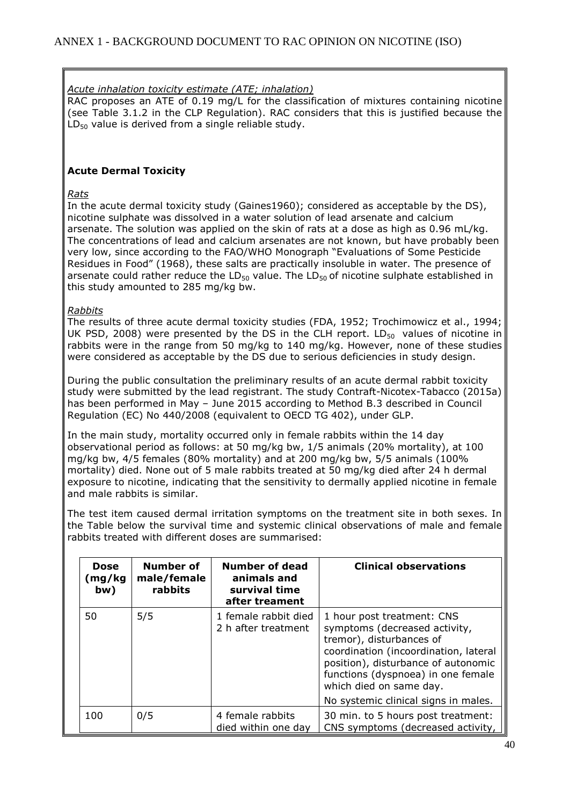#### *Acute inhalation toxicity estimate (ATE; inhalation)*

RAC proposes an ATE of 0.19 mg/L for the classification of mixtures containing nicotine (see Table 3.1.2 in the CLP Regulation). RAC considers that this is justified because the  $LD_{50}$  value is derived from a single reliable study.

#### **Acute Dermal Toxicity**

#### *Rats*

In the acute dermal toxicity study (Gaines1960); considered as acceptable by the DS), nicotine sulphate was dissolved in a water solution of lead arsenate and calcium arsenate. The solution was applied on the skin of rats at a dose as high as 0.96 mL/kg. The concentrations of lead and calcium arsenates are not known, but have probably been very low, since according to the FAO/WHO Monograph "Evaluations of Some Pesticide Residues in Food" (1968), these salts are practically insoluble in water. The presence of arsenate could rather reduce the  $LD_{50}$  value. The  $LD_{50}$  of nicotine sulphate established in this study amounted to 285 mg/kg bw.

#### *Rabbits*

The results of three acute dermal toxicity studies (FDA, 1952; Trochimowicz et al., 1994; UK PSD, 2008) were presented by the DS in the CLH report.  $LD_{50}$  values of nicotine in rabbits were in the range from 50 mg/kg to 140 mg/kg. However, none of these studies were considered as acceptable by the DS due to serious deficiencies in study design.

During the public consultation the preliminary results of an acute dermal rabbit toxicity study were submitted by the lead registrant. The study Contraft-Nicotex-Tabacco (2015a) has been performed in May – June 2015 according to Method B.3 described in Council Regulation (EC) No 440/2008 (equivalent to OECD TG 402), under GLP.

In the main study, mortality occurred only in female rabbits within the 14 day observational period as follows: at 50 mg/kg bw, 1/5 animals (20% mortality), at 100 mg/kg bw, 4/5 females (80% mortality) and at 200 mg/kg bw, 5/5 animals (100% mortality) died. None out of 5 male rabbits treated at 50 mg/kg died after 24 h dermal exposure to nicotine, indicating that the sensitivity to dermally applied nicotine in female and male rabbits is similar.

The test item caused dermal irritation symptoms on the treatment site in both sexes. In the Table below the survival time and systemic clinical observations of male and female rabbits treated with different doses are summarised:

| <b>Dose</b><br>(mg/kg<br>bw) | Number of<br>male/female<br>rabbits | Number of dead<br>animals and<br>survival time<br>after treament | <b>Clinical observations</b>                                                                                                                                                                                                                                                     |
|------------------------------|-------------------------------------|------------------------------------------------------------------|----------------------------------------------------------------------------------------------------------------------------------------------------------------------------------------------------------------------------------------------------------------------------------|
| 50                           | 5/5                                 | 1 female rabbit died<br>2 h after treatment                      | 1 hour post treatment: CNS<br>symptoms (decreased activity,<br>tremor), disturbances of<br>coordination (incoordination, lateral<br>position), disturbance of autonomic<br>functions (dyspnoea) in one female<br>which died on same day.<br>No systemic clinical signs in males. |
| 100                          | 0/5                                 | 4 female rabbits<br>died within one day                          | 30 min. to 5 hours post treatment:<br>CNS symptoms (decreased activity,                                                                                                                                                                                                          |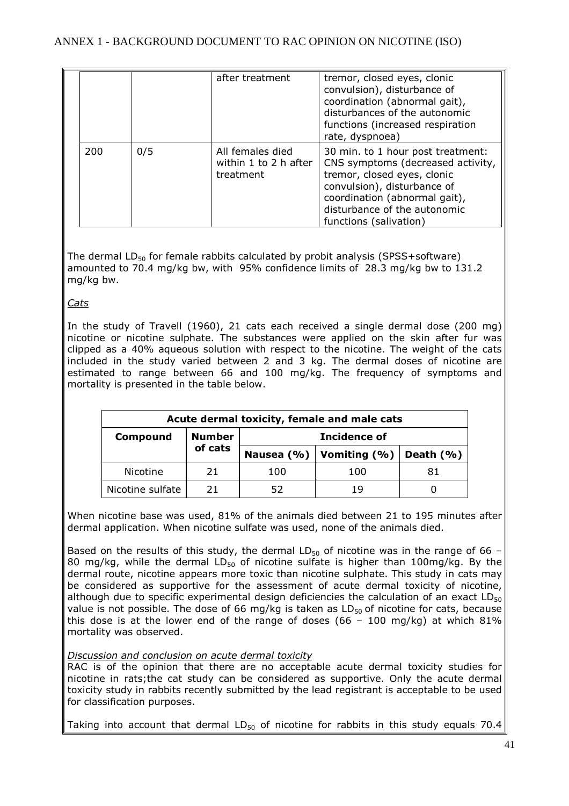|     |     | after treatment                                        | tremor, closed eyes, clonic<br>convulsion), disturbance of<br>coordination (abnormal gait),<br>disturbances of the autonomic<br>functions (increased respiration<br>rate, dyspnoea)                                             |
|-----|-----|--------------------------------------------------------|---------------------------------------------------------------------------------------------------------------------------------------------------------------------------------------------------------------------------------|
| 200 | 0/5 | All females died<br>within 1 to 2 h after<br>treatment | 30 min. to 1 hour post treatment:<br>CNS symptoms (decreased activity,<br>tremor, closed eyes, clonic<br>convulsion), disturbance of<br>coordination (abnormal gait),<br>disturbance of the autonomic<br>functions (salivation) |

The dermal  $LD_{50}$  for female rabbits calculated by probit analysis (SPSS+software) amounted to 70.4 mg/kg bw, with 95% confidence limits of 28.3 mg/kg bw to 131.2 mg/kg bw.

*Cats* 

In the study of Travell (1960), 21 cats each received a single dermal dose (200 mg) nicotine or nicotine sulphate. The substances were applied on the skin after fur was clipped as a 40% aqueous solution with respect to the nicotine. The weight of the cats included in the study varied between 2 and 3 kg. The dermal doses of nicotine are estimated to range between 66 and 100 mg/kg. The frequency of symptoms and mortality is presented in the table below.

| Acute dermal toxicity, female and male cats |               |              |                                 |              |
|---------------------------------------------|---------------|--------------|---------------------------------|--------------|
| Compound                                    | <b>Number</b> | Incidence of |                                 |              |
|                                             | of cats       |              | Nausea $(% )$   Vomiting $(% )$ | Death $(% )$ |
| Nicotine                                    | 21            | 100          | 100                             | 81           |
| Nicotine sulfate                            | 21            | 52           | 19                              |              |

When nicotine base was used, 81% of the animals died between 21 to 195 minutes after dermal application. When nicotine sulfate was used, none of the animals died.

Based on the results of this study, the dermal  $LD_{50}$  of nicotine was in the range of 66 – 80 mg/kg, while the dermal  $LD_{50}$  of nicotine sulfate is higher than 100mg/kg. By the dermal route, nicotine appears more toxic than nicotine sulphate. This study in cats may be considered as supportive for the assessment of acute dermal toxicity of nicotine, although due to specific experimental design deficiencies the calculation of an exact  $LD_{50}$ value is not possible. The dose of 66 mg/kg is taken as  $LD_{50}$  of nicotine for cats, because this dose is at the lower end of the range of doses (66 – 100 mg/kg) at which  $81\%$ mortality was observed.

*Discussion and conclusion on acute dermal toxicity* 

RAC is of the opinion that there are no acceptable acute dermal toxicity studies for nicotine in rats;the cat study can be considered as supportive. Only the acute dermal toxicity study in rabbits recently submitted by the lead registrant is acceptable to be used for classification purposes.

Taking into account that dermal LD $_{50}$  of nicotine for rabbits in this study equals 70.4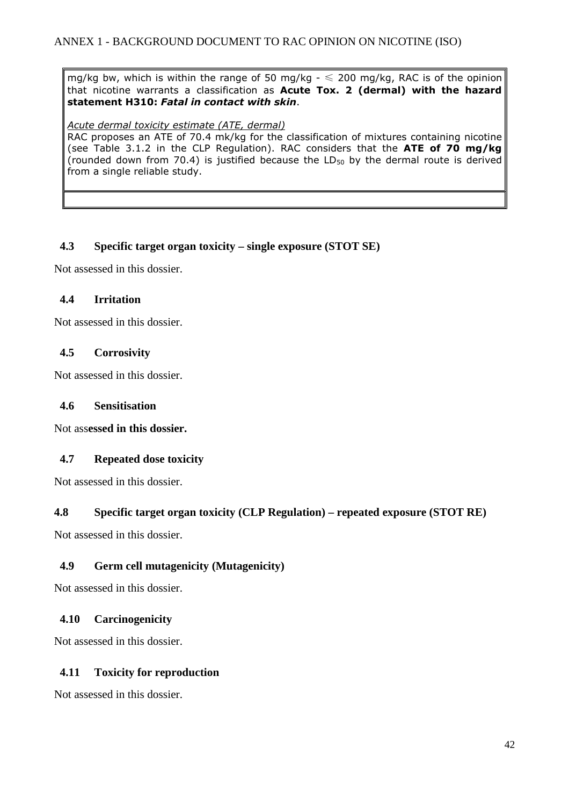mg/kg bw, which is within the range of 50 mg/kg  $- \le 200$  mg/kg, RAC is of the opinion that nicotine warrants a classification as **Acute Tox. 2 (dermal) with the hazard statement H310:** *Fatal in contact with skin*.

#### *Acute dermal toxicity estimate (ATE, dermal)*

RAC proposes an ATE of 70.4 mk/kg for the classification of mixtures containing nicotine (see Table 3.1.2 in the CLP Regulation). RAC considers that the **ATE of 70 mg/kg** (rounded down from 70.4) is justified because the  $LD_{50}$  by the dermal route is derived from a single reliable study.

#### **4.3 Specific target organ toxicity – single exposure (STOT SE)**

Not assessed in this dossier.

#### **4.4 Irritation**

Not assessed in this dossier.

#### **4.5 Corrosivity**

Not assessed in this dossier.

#### **4.6 Sensitisation**

Not ass**essed in this dossier.** 

#### **4.7 Repeated dose toxicity**

Not assessed in this dossier.

#### **4.8 Specific target organ toxicity (CLP Regulation) – repeated exposure (STOT RE)**

Not assessed in this dossier.

#### **4.9 Germ cell mutagenicity (Mutagenicity)**

Not assessed in this dossier.

#### **4.10 Carcinogenicity**

Not assessed in this dossier.

#### **4.11 Toxicity for reproduction**

Not assessed in this dossier.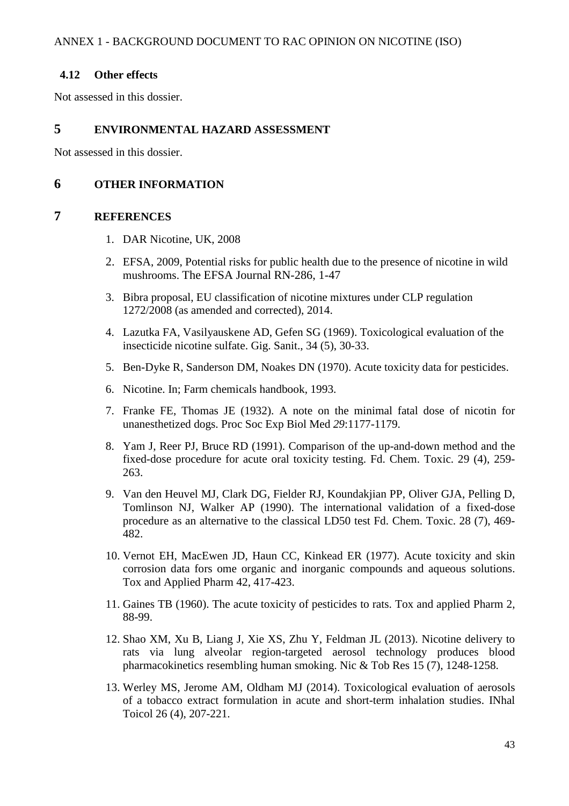#### **4.12 Other effects**

Not assessed in this dossier.

#### **5 ENVIRONMENTAL HAZARD ASSESSMENT**

Not assessed in this dossier.

#### **6 OTHER INFORMATION**

#### **7 REFERENCES**

- 1. DAR Nicotine, UK, 2008
- 2. EFSA, 2009, Potential risks for public health due to the presence of nicotine in wild mushrooms. The EFSA Journal RN-286, 1-47
- 3. Bibra proposal, EU classification of nicotine mixtures under CLP regulation 1272/2008 (as amended and corrected), 2014.
- 4. Lazutka FA, Vasilyauskene AD, Gefen SG (1969). Toxicological evaluation of the insecticide nicotine sulfate. Gig. Sanit., 34 (5), 30-33.
- 5. Ben-Dyke R, Sanderson DM, Noakes DN (1970). Acute toxicity data for pesticides.
- 6. Nicotine. In; Farm chemicals handbook, 1993.
- 7. Franke FE, Thomas JE (1932). A note on the minimal fatal dose of nicotin for unanesthetized dogs. Proc Soc Exp Biol Med *29*:1177-1179.
- 8. Yam J, Reer PJ, Bruce RD (1991). Comparison of the up-and-down method and the fixed-dose procedure for acute oral toxicity testing. Fd. Chem. Toxic. 29 (4), 259- 263.
- 9. Van den Heuvel MJ, Clark DG, Fielder RJ, Koundakjian PP, Oliver GJA, Pelling D, Tomlinson NJ, Walker AP (1990). The international validation of a fixed-dose procedure as an alternative to the classical LD50 test Fd. Chem. Toxic. 28 (7), 469- 482.
- 10. Vernot EH, MacEwen JD, Haun CC, Kinkead ER (1977). Acute toxicity and skin corrosion data fors ome organic and inorganic compounds and aqueous solutions. Tox and Applied Pharm 42, 417-423.
- 11. Gaines TB (1960). The acute toxicity of pesticides to rats. Tox and applied Pharm 2, 88-99.
- 12. Shao XM, Xu B, Liang J, Xie XS, Zhu Y, Feldman JL (2013). Nicotine delivery to rats via lung alveolar region-targeted aerosol technology produces blood pharmacokinetics resembling human smoking. Nic & Tob Res 15 (7), 1248-1258.
- 13. Werley MS, Jerome AM, Oldham MJ (2014). Toxicological evaluation of aerosols of a tobacco extract formulation in acute and short-term inhalation studies. INhal Toicol 26 (4), 207-221.